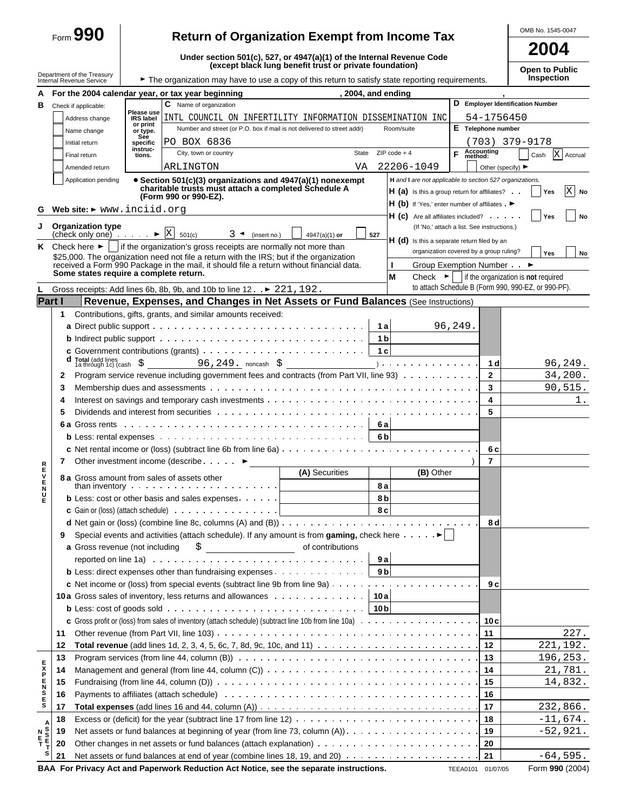|                |                                                                                                |                                |                                                                                                                                                                                                                                                                                                                     |                                                         |                      |                                                                                                                    |                                             | OMB No. 1545-0047                                                                                                        |
|----------------|------------------------------------------------------------------------------------------------|--------------------------------|---------------------------------------------------------------------------------------------------------------------------------------------------------------------------------------------------------------------------------------------------------------------------------------------------------------------|---------------------------------------------------------|----------------------|--------------------------------------------------------------------------------------------------------------------|---------------------------------------------|--------------------------------------------------------------------------------------------------------------------------|
|                | $_{\text{Form}}$ 990                                                                           |                                | <b>Return of Organization Exempt from Income Tax</b>                                                                                                                                                                                                                                                                |                                                         |                      |                                                                                                                    |                                             | 2004                                                                                                                     |
|                |                                                                                                |                                | Under section 501(c), 527, or 4947(a)(1) of the Internal Revenue Code                                                                                                                                                                                                                                               | (except black lung benefit trust or private foundation) |                      |                                                                                                                    |                                             | <b>Open to Public</b>                                                                                                    |
|                | Department of the Treasury<br>Internal Revenue Service                                         |                                | The organization may have to use a copy of this return to satisfy state reporting requirements.                                                                                                                                                                                                                     |                                                         |                      |                                                                                                                    |                                             | Inspection                                                                                                               |
|                |                                                                                                |                                | A For the 2004 calendar year, or tax year beginning                                                                                                                                                                                                                                                                 | , 2004, and ending                                      |                      |                                                                                                                    |                                             |                                                                                                                          |
| В              | Check if applicable:                                                                           |                                | C Name of organization                                                                                                                                                                                                                                                                                              |                                                         |                      |                                                                                                                    |                                             | D Employer Identification Number                                                                                         |
|                | Address change                                                                                 | Please use<br><b>IRS</b> label | INTL COUNCIL ON INFERTILITY INFORMATION DISSEMINATION INC                                                                                                                                                                                                                                                           |                                                         |                      |                                                                                                                    | 54-1756450                                  |                                                                                                                          |
|                | Name change                                                                                    | or print<br>or type.           | Number and street (or P.O. box if mail is not delivered to street addr)                                                                                                                                                                                                                                             |                                                         |                      | Room/suite                                                                                                         | E Telephone number                          |                                                                                                                          |
|                | Initial return                                                                                 | See<br>specific                | PO BOX 6836                                                                                                                                                                                                                                                                                                         |                                                         |                      |                                                                                                                    |                                             | (703) 379-9178                                                                                                           |
|                | Final return                                                                                   | instruc-<br>tions.             | City, town or country                                                                                                                                                                                                                                                                                               |                                                         |                      | State $ZIP code + 4$                                                                                               | F Accounting                                | X Accrual<br>Cash                                                                                                        |
|                | Amended return                                                                                 |                                | ARLINGTON                                                                                                                                                                                                                                                                                                           | VA                                                      |                      | 22206-1049                                                                                                         | Other (specify) $\blacktriangleright$       |                                                                                                                          |
|                | Application pending                                                                            |                                | • Section 501(c)(3) organizations and 4947(a)(1) nonexempt<br>charitable trusts must attach a completed Schedule A<br>(Form 990 or 990-EZ).                                                                                                                                                                         |                                                         |                      | H and I are not applicable to section 527 organizations.<br>$H(a)$ is this a group return for affiliates? $\cdots$ |                                             | X<br>Yes<br>No                                                                                                           |
|                | Web site: $\blacktriangleright$ www.inciid.org                                                 |                                |                                                                                                                                                                                                                                                                                                                     |                                                         |                      | H (b) If 'Yes,' enter number of affiliates . $\blacktriangleright$                                                 |                                             |                                                                                                                          |
|                |                                                                                                |                                |                                                                                                                                                                                                                                                                                                                     |                                                         |                      | $H(G)$ Are all affiliates included? $\cdots$                                                                       |                                             | Yes<br>No                                                                                                                |
|                | J Organization type<br>(check only one) $\cdots$ $\blacktriangleright \boxed{\text{X}}$ 501(c) |                                | $3 \triangleleft$ (insert no.)                                                                                                                                                                                                                                                                                      | $4947(a)(1)$ or                                         | 527                  |                                                                                                                    | (If 'No,' attach a list. See instructions.) |                                                                                                                          |
|                | <b>K</b> Check here $\blacktriangleright$ $\blacktriangleright$                                |                                | if the organization's gross receipts are normally not more than                                                                                                                                                                                                                                                     |                                                         |                      | H (d) Is this a separate return filed by an                                                                        |                                             |                                                                                                                          |
|                |                                                                                                |                                | \$25,000. The organization need not file a return with the IRS: but if the organization                                                                                                                                                                                                                             |                                                         |                      |                                                                                                                    | organization covered by a group ruling?     | Yes<br><b>No</b>                                                                                                         |
|                | Some states require a complete return.                                                         |                                | received a Form 990 Package in the mail, it should file a return without financial data.                                                                                                                                                                                                                            |                                                         |                      | L                                                                                                                  | Group Exemption Number ►                    |                                                                                                                          |
|                |                                                                                                |                                |                                                                                                                                                                                                                                                                                                                     |                                                         |                      | М                                                                                                                  |                                             | Check $\blacktriangleright$   if the organization is not required<br>to attach Schedule B (Form 990, 990-EZ, or 990-PF). |
|                | Part I                                                                                         |                                | Gross receipts: Add lines 6b, 8b, 9b, and 10b to line $12 \cdot P 221$ , $192$ .                                                                                                                                                                                                                                    |                                                         |                      |                                                                                                                    |                                             |                                                                                                                          |
|                |                                                                                                |                                | Revenue, Expenses, and Changes in Net Assets or Fund Balances (See Instructions)                                                                                                                                                                                                                                    |                                                         |                      |                                                                                                                    |                                             |                                                                                                                          |
|                | 1.                                                                                             |                                | Contributions, gifts, grants, and similar amounts received:                                                                                                                                                                                                                                                         |                                                         |                      |                                                                                                                    |                                             |                                                                                                                          |
|                |                                                                                                |                                |                                                                                                                                                                                                                                                                                                                     |                                                         | 1a                   |                                                                                                                    | 96,249.                                     |                                                                                                                          |
|                |                                                                                                |                                | c Government contributions (grants) $\ldots \ldots \ldots \ldots \ldots \ldots \ldots$                                                                                                                                                                                                                              |                                                         | 1 <sub>b</sub><br>1c |                                                                                                                    |                                             |                                                                                                                          |
|                |                                                                                                |                                | d Total (add lines<br>1a through 1c) (cash $\zeta$ 96, 249. noncash $\zeta$ 1d                                                                                                                                                                                                                                      |                                                         |                      |                                                                                                                    |                                             | 96,249.                                                                                                                  |
|                |                                                                                                |                                | Program service revenue including government fees and contracts (from Part VII, line 93)                                                                                                                                                                                                                            |                                                         |                      |                                                                                                                    | $\overline{2}$                              | 34,200.                                                                                                                  |
|                | 2<br>3                                                                                         |                                |                                                                                                                                                                                                                                                                                                                     |                                                         |                      |                                                                                                                    | 3                                           | 90,515.                                                                                                                  |
|                | 4                                                                                              |                                |                                                                                                                                                                                                                                                                                                                     |                                                         |                      |                                                                                                                    | 4                                           | 1.                                                                                                                       |
|                | 5                                                                                              |                                |                                                                                                                                                                                                                                                                                                                     |                                                         |                      |                                                                                                                    | 5                                           |                                                                                                                          |
|                |                                                                                                |                                |                                                                                                                                                                                                                                                                                                                     |                                                         | 6al                  |                                                                                                                    |                                             |                                                                                                                          |
|                |                                                                                                |                                |                                                                                                                                                                                                                                                                                                                     |                                                         | 6 <sub>b</sub>       |                                                                                                                    |                                             |                                                                                                                          |
|                |                                                                                                |                                |                                                                                                                                                                                                                                                                                                                     |                                                         |                      |                                                                                                                    | 6 c                                         |                                                                                                                          |
|                |                                                                                                |                                |                                                                                                                                                                                                                                                                                                                     |                                                         |                      |                                                                                                                    | $\overline{7}$                              |                                                                                                                          |
| R              |                                                                                                |                                |                                                                                                                                                                                                                                                                                                                     | (A) Securities                                          |                      | (B) Other                                                                                                          |                                             |                                                                                                                          |
|                | than inventory.                                                                                |                                | 8 a Gross amount from sales of assets other<br>.                                                                                                                                                                                                                                                                    |                                                         | 8 a                  |                                                                                                                    |                                             |                                                                                                                          |
| <b>FVENUE</b>  |                                                                                                |                                | <b>b</b> Less: cost or other basis and sales expenses $\cdots$                                                                                                                                                                                                                                                      |                                                         | 8 <sub>b</sub>       |                                                                                                                    |                                             |                                                                                                                          |
|                |                                                                                                |                                | <b>c</b> Gain or (loss) (attach schedule) $\cdots$ $\cdots$ $\cdots$ $\cdots$ $\cdots$ $\cdots$                                                                                                                                                                                                                     |                                                         | 8 c                  |                                                                                                                    |                                             |                                                                                                                          |
|                |                                                                                                |                                |                                                                                                                                                                                                                                                                                                                     |                                                         |                      |                                                                                                                    | 8 d                                         |                                                                                                                          |
|                | 9                                                                                              |                                | Special events and activities (attach schedule). If any amount is from gaming, check here $\dots \dots$                                                                                                                                                                                                             |                                                         |                      |                                                                                                                    |                                             |                                                                                                                          |
|                | a Gross revenue (not including                                                                 |                                | $\frac{1}{2}$ $\frac{1}{2}$ $\frac{1}{2}$ $\frac{1}{2}$ $\frac{1}{2}$ $\frac{1}{2}$ $\frac{1}{2}$ $\frac{1}{2}$ $\frac{1}{2}$ $\frac{1}{2}$ $\frac{1}{2}$ $\frac{1}{2}$ $\frac{1}{2}$ $\frac{1}{2}$ $\frac{1}{2}$ $\frac{1}{2}$ $\frac{1}{2}$ $\frac{1}{2}$ $\frac{1}{2}$ $\frac{1}{2}$ $\frac{1}{2}$ $\frac{1}{2}$ | of contributions                                        |                      |                                                                                                                    |                                             |                                                                                                                          |
|                |                                                                                                |                                | reported on line 1a) $\ldots \ldots \ldots \ldots \ldots \ldots \ldots \ldots \ldots \ldots$                                                                                                                                                                                                                        |                                                         | 9al                  |                                                                                                                    |                                             |                                                                                                                          |
|                |                                                                                                |                                |                                                                                                                                                                                                                                                                                                                     |                                                         |                      |                                                                                                                    |                                             |                                                                                                                          |
|                |                                                                                                |                                |                                                                                                                                                                                                                                                                                                                     |                                                         |                      |                                                                                                                    | 9 c                                         |                                                                                                                          |
|                |                                                                                                |                                | 10a Gross sales of inventory, less returns and allowances 10a                                                                                                                                                                                                                                                       |                                                         |                      |                                                                                                                    |                                             |                                                                                                                          |
|                |                                                                                                |                                | <b>b</b> Less: cost of goods sold $\cdots$ $\cdots$ $\cdots$ $\cdots$ $\cdots$ $\cdots$ $\cdots$ $\cdots$ $\cdots$ $\cdots$ $\cdots$ $\vert$ 10 b                                                                                                                                                                   |                                                         |                      |                                                                                                                    |                                             |                                                                                                                          |
|                |                                                                                                |                                |                                                                                                                                                                                                                                                                                                                     |                                                         |                      |                                                                                                                    | 10 c                                        |                                                                                                                          |
|                | 11                                                                                             |                                |                                                                                                                                                                                                                                                                                                                     |                                                         |                      |                                                                                                                    | 11                                          | 227.                                                                                                                     |
|                | 12                                                                                             |                                |                                                                                                                                                                                                                                                                                                                     |                                                         |                      |                                                                                                                    | 12                                          | 221,192.                                                                                                                 |
|                | 13                                                                                             |                                |                                                                                                                                                                                                                                                                                                                     |                                                         |                      |                                                                                                                    | 13                                          | 196,253.                                                                                                                 |
|                | 14                                                                                             |                                | Management and general (from line 44, column (C)) $\ldots \ldots \ldots \ldots \ldots \ldots \ldots \ldots \ldots \ldots \ldots \ldots$                                                                                                                                                                             |                                                         |                      |                                                                                                                    |                                             | 21,781.                                                                                                                  |
|                | 15                                                                                             |                                |                                                                                                                                                                                                                                                                                                                     |                                                         |                      |                                                                                                                    |                                             | 14,832.                                                                                                                  |
| <b>HAZHAKE</b> | 16                                                                                             |                                |                                                                                                                                                                                                                                                                                                                     |                                                         |                      |                                                                                                                    | 16                                          |                                                                                                                          |
|                |                                                                                                |                                |                                                                                                                                                                                                                                                                                                                     |                                                         |                      |                                                                                                                    |                                             |                                                                                                                          |

| Net assets or fund balances at end of year (combine lines 18, 19, and 20) $\ldots \ldots \ldots \ldots \ldots \ldots$ |              |  |
|-----------------------------------------------------------------------------------------------------------------------|--------------|--|
| BAA For Privacy Act and Paperwork Reduction Act Notice, see the separate instructions.                                | TEEA0101 01/ |  |

**E**

**A S S E T**

**S 17 Total expenses** (add lines 16 and 44, column (A)) **17 18** Excess or (deficit) for the year (subtract line 17 from line 12) **18 N 19** Net assets or fund balances at beginning of year (from line 73, column (A)) **19**

**T 20** Other changes in net assets or fund balances (attach explanation) **20**

232,866. -11,674. -52,921.

 $-64,595$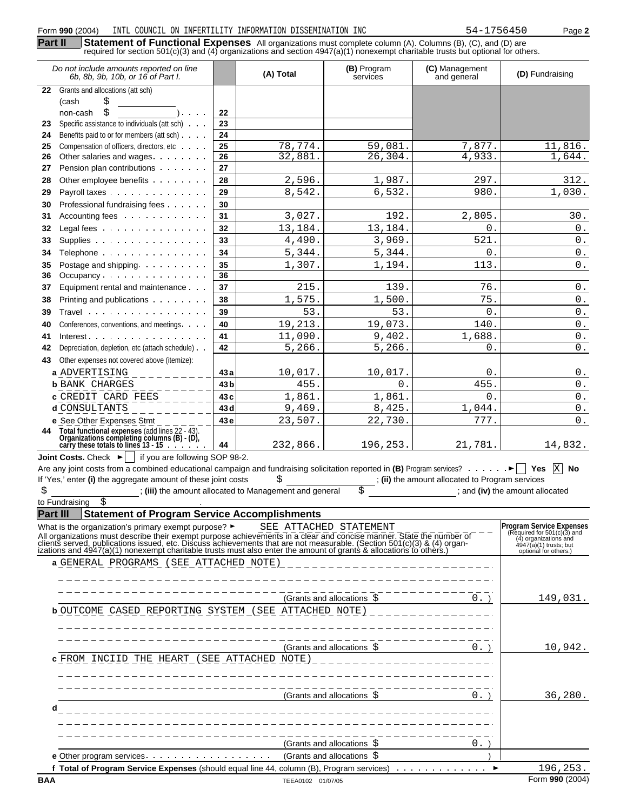| Do not include amounts reported on line<br>6b, 8b, 9b, 10b, or 16 of Part I.                                                              |                 | (A) Total | (B) Program<br>services | (C) Management<br>and general                 | (D) Fundraising    |
|-------------------------------------------------------------------------------------------------------------------------------------------|-----------------|-----------|-------------------------|-----------------------------------------------|--------------------|
| 22 Grants and allocations (att sch)                                                                                                       |                 |           |                         |                                               |                    |
| \$<br>(cash                                                                                                                               |                 |           |                         |                                               |                    |
| \$<br>non-cash<br>$\sim 100$ $\mu$                                                                                                        | 22              |           |                         |                                               |                    |
| Specific assistance to individuals (att sch)<br>23                                                                                        | 23              |           |                         |                                               |                    |
| Benefits paid to or for members (att sch)<br>24                                                                                           | 24              |           |                         |                                               |                    |
| Compensation of officers, directors, etc<br>25                                                                                            | 25              | 78,774.   | 59,081.                 | 7,877.                                        | 11,816.            |
| Other salaries and wages<br>26                                                                                                            | 26              | 32,881.   | 26, 304.                | 4,933.                                        | 1,644.             |
| Pension plan contributions<br>27                                                                                                          | 27              |           |                         |                                               |                    |
| Other employee benefits<br>28                                                                                                             | 28              | 2,596.    | 1,987.                  | 297.                                          | 312.               |
| Payroll taxes<br>29                                                                                                                       | 29              | 8,542.    | 6,532.                  | 980.                                          | 1,030.             |
| Professional fundraising fees<br>30                                                                                                       | 30              |           |                         |                                               |                    |
| Accounting fees<br>31                                                                                                                     | 31              | 3,027.    | 192.                    | 2,805.                                        | 30.                |
| 32<br>Legal fees                                                                                                                          | 32              | 13,184.   | 13,184.                 | $\overline{0}$ .                              | $0$ .              |
| Supplies<br>33                                                                                                                            | 33              | 4,490.    | 3,969.                  | 521.                                          | $0$ .              |
| Telephone<br>34                                                                                                                           | 34              | 5,344.    | 5,344.                  | 0.                                            | $0$ .              |
| Postage and shipping.<br>35                                                                                                               | 35              | 1,307.    | 1,194.                  | 113.                                          | $0$ .              |
| Occupancy<br>36                                                                                                                           | 36              |           |                         |                                               |                    |
| Equipment rental and maintenance<br>37                                                                                                    | 37              | 215.      | 139.                    | 76.                                           | $\,0$ .            |
| Printing and publications<br>38                                                                                                           | 38              | 1,575.    | 1,500.                  | 75.                                           | $0$ .              |
| Travel<br>39                                                                                                                              | 39              | 53.       | 53.                     | 0.                                            | $0$ .              |
| Conferences, conventions, and meetings.<br>40                                                                                             | 40              | 19,213.   | 19,073.                 | 140.                                          | $0$ .              |
| Interest $\cdots$ , $\cdots$<br>41                                                                                                        | 41              | 11,090.   | 9,402.                  | 1,688.                                        | $0$ .              |
| Depreciation, depletion, etc (attach schedule)<br>42                                                                                      | 42              | 5,266.    | 5,266.                  | 0.                                            | $\overline{0}$ .   |
| Other expenses not covered above (itemize):<br>43                                                                                         |                 |           |                         |                                               |                    |
| a ADVERTISING                                                                                                                             | 43 a            | 10,017.   | 10,017.                 | 0.                                            | $\boldsymbol{0}$ . |
| <b>b</b> BANK CHARGES                                                                                                                     | 43 <sub>b</sub> | 455.      | 0.                      | 455.                                          | 0.                 |
| <b>c</b> CREDIT CARD FEES                                                                                                                 | 43c             | 1,861.    | 1,861.                  | 0.                                            | $0$ .              |
| d CONSULTANTS                                                                                                                             | 43 d            | 9,469.    | 8,425.                  | 1,044.                                        | $0$ .              |
| e See Other Expenses Stmt                                                                                                                 | 43e             | 23,507.   | 22,730.                 | 777.                                          | $0$ .              |
| Total functional expenses (add lines 22 - 43)<br>Organizations completing columns (B) - (D),<br>carry these totals to lines 13 - 15<br>44 | 44              | 232,866.  | 196,253.                | 21,781.                                       | 14,832.            |
| <b>Joint Costs.</b> Check $\blacktriangleright$   if you are following SOP 98-2.                                                          |                 |           |                         |                                               |                    |
|                                                                                                                                           |                 |           |                         |                                               | X<br>No            |
| If 'Yes,' enter (i) the aggregate amount of these joint costs                                                                             |                 | \$        |                         | (ii) the amount allocated to Program services |                    |
|                                                                                                                                           |                 |           |                         |                                               |                    |

\$ ; **(iii)** the amount allocated to Management and general \$ ; and **(iv)** the amount allocated to Fundraising \$ .

**Part III Statement of Program Service Accomplishments**

| What is the organization's primary exempt purpose? $\blacktriangleright$                                                                                                                                                          | SEE ATTACHED STATEMENT     |        | <b>Program Service Expenses</b>                        |
|-----------------------------------------------------------------------------------------------------------------------------------------------------------------------------------------------------------------------------------|----------------------------|--------|--------------------------------------------------------|
|                                                                                                                                                                                                                                   |                            |        | (Required for $501(c)(3)$ and<br>(4) organizations and |
| All organizations must describe their exempt purpose achievements in a clear and concise manner. State the number of<br>clients served, publications issued, etc. Discuss achievements that are not measurable. (Section 501(c)(3 |                            |        | 4947(a)(1) trusts; but<br>optional for others.)        |
| a GENERAL PROGRAMS (SEE ATTACHED NOTE)                                                                                                                                                                                            |                            |        |                                                        |
|                                                                                                                                                                                                                                   |                            |        |                                                        |
|                                                                                                                                                                                                                                   |                            |        |                                                        |
|                                                                                                                                                                                                                                   |                            |        |                                                        |
|                                                                                                                                                                                                                                   | (Grants and allocations \$ | $0.$ ) | 149,031.                                               |
| <b>b</b> OUTCOME CASED REPORTING SYSTEM (SEE ATTACHED NOTE)                                                                                                                                                                       |                            |        |                                                        |
|                                                                                                                                                                                                                                   |                            |        |                                                        |
|                                                                                                                                                                                                                                   |                            |        |                                                        |
|                                                                                                                                                                                                                                   | (Grants and allocations \$ | $0.$ ) | 10,942.                                                |
| <b>c</b> FROM INCIID THE HEART (SEE ATTACHED NOTE)                                                                                                                                                                                |                            |        |                                                        |
|                                                                                                                                                                                                                                   |                            |        |                                                        |
|                                                                                                                                                                                                                                   |                            |        |                                                        |
|                                                                                                                                                                                                                                   | (Grants and allocations \$ | $0.$ ) | 36,280.                                                |
|                                                                                                                                                                                                                                   |                            |        |                                                        |
| d                                                                                                                                                                                                                                 |                            |        |                                                        |
|                                                                                                                                                                                                                                   |                            |        |                                                        |
|                                                                                                                                                                                                                                   |                            |        |                                                        |
|                                                                                                                                                                                                                                   | (Grants and allocations \$ | 0.     |                                                        |
|                                                                                                                                                                                                                                   | (Grants and allocations \$ |        |                                                        |
| <b>f Total of Program Service Expenses</b> (should equal line 44, column $(B)$ , Program services) $\ldots \ldots \ldots \ldots$                                                                                                  |                            |        | 196,253.                                               |
| BAA                                                                                                                                                                                                                               | TEEA0102 01/07/05          |        | Form 990 (2004)                                        |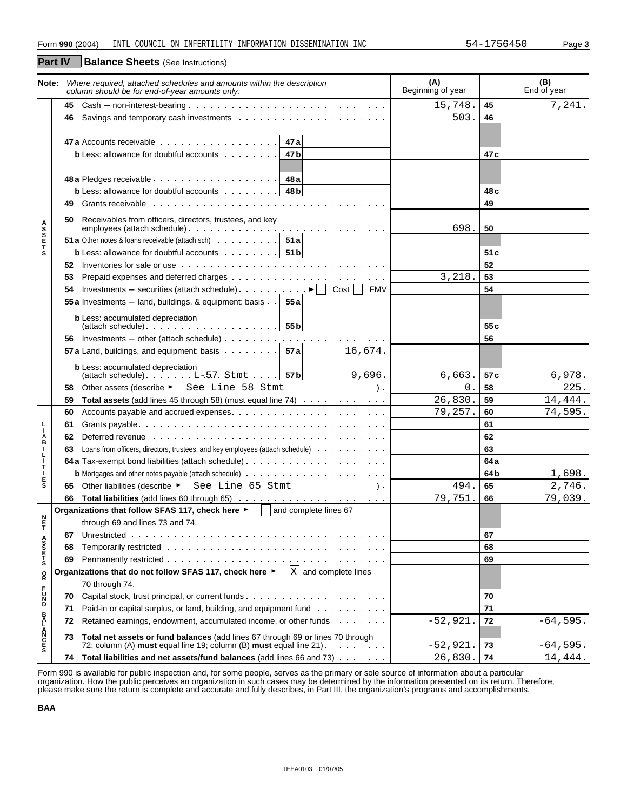**Part IV**

**Balance Sheets** (See Instructions)

|                                 |     | Note: Where required, attached schedules and amounts within the description<br>column should be for end-of-year amounts only.                                                                                                        | (A)<br>Beginning of year |                 | (B)<br>End of year |
|---------------------------------|-----|--------------------------------------------------------------------------------------------------------------------------------------------------------------------------------------------------------------------------------------|--------------------------|-----------------|--------------------|
|                                 | 45  | $Cash - non-interest-bearing \dots \dots \dots \dots \dots \dots \dots \dots \dots \dots \dots \dots$                                                                                                                                | 15,748.                  | 45              | 7,241.             |
|                                 | 46  |                                                                                                                                                                                                                                      | 503.                     | 46              |                    |
|                                 |     |                                                                                                                                                                                                                                      |                          |                 |                    |
|                                 |     | 47 a Accounts receivable $\cdots$ 47 a                                                                                                                                                                                               |                          |                 |                    |
|                                 |     | <b>b</b> Less: allowance for doubtful accounts $\cdots$<br>47 b                                                                                                                                                                      |                          | 47 c            |                    |
|                                 |     |                                                                                                                                                                                                                                      |                          |                 |                    |
|                                 |     |                                                                                                                                                                                                                                      |                          |                 |                    |
|                                 |     | <b>b</b> Less: allowance for doubtful accounts $\cdots$ $\cdots$ $\cdots$   48 <b>b</b>                                                                                                                                              |                          | 48 c            |                    |
|                                 | 49. | Grants receivable edge in the content of the content of the content of the content of the content of the content of the content of the content of the content of the content of the content of the content of the content of t       |                          | 49              |                    |
|                                 | 50  | Receivables from officers, directors, trustees, and key                                                                                                                                                                              |                          |                 |                    |
|                                 |     |                                                                                                                                                                                                                                      | 698.                     | 50              |                    |
| <b>ASSETS</b>                   |     | <b>51 a</b> Other notes & loans receivable (attach sch) $\cdots$ $\cdots$ $\cdots$ <b>51 a</b>                                                                                                                                       |                          |                 |                    |
|                                 |     | <b>b</b> Less: allowance for doubtful accounts $\cdots$ $\cdots$ $\cdots$ $\cdots$ <b>51 b</b>                                                                                                                                       |                          | 51 c            |                    |
|                                 |     |                                                                                                                                                                                                                                      |                          | 52              |                    |
|                                 | 53  |                                                                                                                                                                                                                                      | 3,218.                   | 53              |                    |
|                                 |     | 54 Investments – securities (attach schedule) $\cdots$ $\cdots$ $\cdots$ $\cdots$ $\vdash$   Cost     FMV                                                                                                                            |                          | 54              |                    |
|                                 |     | 55 a Investments – land, buildings, & equipment: basis $\cdot \cdot$ 55 a                                                                                                                                                            |                          |                 |                    |
|                                 |     | <b>b</b> Less: accumulated depreciation                                                                                                                                                                                              |                          |                 |                    |
|                                 |     |                                                                                                                                                                                                                                      |                          | 55 c            |                    |
|                                 |     |                                                                                                                                                                                                                                      |                          | 56              |                    |
|                                 |     | 57 a Land, buildings, and equipment: basis $\cdots$ $\cdots$ $\cdots$ $\cdots$ 57 a<br>16,674.                                                                                                                                       |                          |                 |                    |
|                                 |     | <b>b</b> Less: accumulated depreciation                                                                                                                                                                                              |                          |                 |                    |
|                                 |     | $\left \left(\text{attach schedule}\right), \ldots, \ldots, \ldots\right $ 57 b<br>9,696.                                                                                                                                            | 6,663.                   | 57 c            | 6,978.             |
|                                 | 58. | Other assets (describe ► See Line 58 Stmt<br>$\lambda$ .                                                                                                                                                                             | 0.                       | 58              | 225.               |
|                                 | 59  | Total assets (add lines 45 through 58) (must equal line 74)                                                                                                                                                                          | 26,830.                  | 59              | 14,444.            |
|                                 | 60  |                                                                                                                                                                                                                                      | 79,257.                  | 60              | 74,595.            |
| L<br>I.                         | 61  |                                                                                                                                                                                                                                      |                          | 61              |                    |
| $_{\rm B}^{\rm A}$              | 62  | Deferred revenue <i>and a content of the content of the content of the content of the content of the content of the content of the content of the content of the content of the content of the content of the content of the con</i> |                          | 62              |                    |
| T                               |     | 63 Loans from officers, directors, trustees, and key employees (attach schedule)                                                                                                                                                     |                          | 63              |                    |
| $\frac{1}{1}$                   |     |                                                                                                                                                                                                                                      |                          | 64 a            |                    |
| Ţ<br>E                          |     |                                                                                                                                                                                                                                      |                          | 64 <sub>b</sub> | 1,698.             |
| s                               |     | 65 Other liabilities (describe > See Line 65 Stmt ) .                                                                                                                                                                                | 494.                     | 65              | 2,746.             |
|                                 |     |                                                                                                                                                                                                                                      | 79,751.                  | 66              | 79,039.            |
|                                 |     | Organizations that follow SFAS 117, check here ►   and complete lines 67                                                                                                                                                             |                          |                 |                    |
| n<br>F                          |     | through 69 and lines 73 and 74.                                                                                                                                                                                                      |                          |                 |                    |
|                                 |     |                                                                                                                                                                                                                                      |                          | 67              |                    |
|                                 | 68  | Temporarily restricted enterprise in the context of the context of the context of the context of the context of the context of the context of the context of the context of the context of the context of the context of the c       |                          | 68              |                    |
| A<br>S<br>S<br>T<br>S<br>T<br>S | 69  |                                                                                                                                                                                                                                      |                          | 69              |                    |
| $_{\rm R}^{\rm O}$              |     | Organizations that do not follow SFAS 117, check here ▶<br>$X$ and complete lines                                                                                                                                                    |                          |                 |                    |
|                                 |     | 70 through 74.                                                                                                                                                                                                                       |                          |                 |                    |
| <b>PDZC</b>                     | 70  |                                                                                                                                                                                                                                      |                          | 70              |                    |
|                                 | 71  | Paid-in or capital surplus, or land, building, and equipment fund                                                                                                                                                                    |                          | 71              |                    |
|                                 | 72  | Retained earnings, endowment, accumulated income, or other funds                                                                                                                                                                     | $-52,921.$               | 72              | $-64,595.$         |
| <b>BALANCES</b>                 | 73  | Total net assets or fund balances (add lines 67 through 69 or lines 70 through                                                                                                                                                       |                          |                 |                    |
|                                 |     | 72; column (A) must equal line 19; column (B) must equal line $21$ .                                                                                                                                                                 | $-52,921.$               | 73              | $-64,595.$         |
|                                 |     | 74 Total liabilities and net assets/fund balances (add lines 66 and 73)                                                                                                                                                              | 26,830.                  | 74              | 14,444.            |

Form 990 is available for public inspection and, for some people, serves as the primary or sole source of information about a particular organization. How the public perceives an organization in such cases may be determined by the information presented on its return. Therefore, please make sure the return is complete and accurate and fully describes, in Part III, the organization's programs and accomplishments.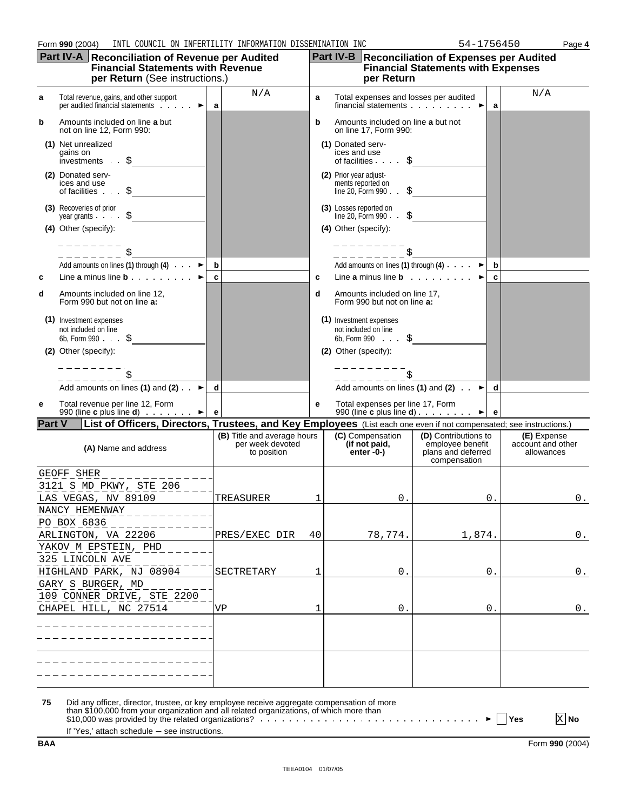|               | Form 990 (2004)<br>INTL COUNCIL ON INFERTILITY INFORMATION DISSEMINATION INC                                                                                                          |    |                                                                |    |                                                |                                                                                        | 54-1756450                                                                                           |    | Page 4                                         |
|---------------|---------------------------------------------------------------------------------------------------------------------------------------------------------------------------------------|----|----------------------------------------------------------------|----|------------------------------------------------|----------------------------------------------------------------------------------------|------------------------------------------------------------------------------------------------------|----|------------------------------------------------|
|               | Part IV-A Reconciliation of Revenue per Audited<br><b>Financial Statements with Revenue</b><br>per Return (See instructions.)                                                         |    |                                                                |    |                                                | per Return                                                                             | <b>Part IV-B</b> Reconciliation of Expenses per Audited<br><b>Financial Statements with Expenses</b> |    |                                                |
| а             | Total revenue, gains, and other support<br>per audited financial statements<br>►                                                                                                      | a  | N/A                                                            | a  |                                                |                                                                                        | Total expenses and losses per audited<br>financial statements $\cdots$                               | a  | N/A                                            |
| b             | Amounts included on line a but<br>not on line 12, Form 990:                                                                                                                           |    |                                                                | b  |                                                | Amounts included on line a but not<br>on line 17, Form 990:                            |                                                                                                      |    |                                                |
|               | (1) Net unrealized<br>gains on<br>investments $\cdot$ $\uparrow$                                                                                                                      |    |                                                                |    | (1) Donated serv-<br>ices and use              | of facilities                                                                          |                                                                                                      |    |                                                |
|               | (2) Donated serv-<br>ices and use<br>of facilities $\cdot \cdot$ \$                                                                                                                   |    |                                                                |    | (2) Prior year adjust-                         | ments reported on<br>line 20, Form $990 \cdot \cdot \cdot$<br>S.                       |                                                                                                      |    |                                                |
|               | (3) Recoveries of prior<br>year grants $\cdot$ $\cdot$ $\cdot$ $\uparrow$<br>(4) Other (specify):                                                                                     |    |                                                                |    | (3) Losses reported on<br>(4) Other (specify): | line 20, Form 990.<br>S                                                                |                                                                                                      |    |                                                |
|               |                                                                                                                                                                                       |    |                                                                |    |                                                |                                                                                        |                                                                                                      |    |                                                |
|               | Add amounts on lines (1) through (4) $\cdots$                                                                                                                                         | b  |                                                                |    |                                                |                                                                                        | Add amounts on lines (1) through (4) $\cdots$                                                        | b  |                                                |
| c             | Line a minus line $\mathbf{b}$ $\blacktriangleright$                                                                                                                                  | c  |                                                                | c  |                                                |                                                                                        | Line a minus line $\mathbf{b}$ $\blacktriangleright$                                                 | c  |                                                |
| d             | Amounts included on line 12,<br>Form 990 but not on line a:                                                                                                                           |    |                                                                | d  |                                                | Amounts included on line 17,<br>Form 990 but not on line a:                            |                                                                                                      |    |                                                |
|               | (1) Investment expenses<br>not included on line<br>6b, Form 990 $\cdot \cdot \cdot$ \$                                                                                                |    |                                                                |    |                                                | (1) Investment expenses<br>not included on line<br>6b, Form 990 $\cdot \cdot \cdot$ \$ |                                                                                                      |    |                                                |
|               | (2) Other (specify):                                                                                                                                                                  |    |                                                                |    | (2) Other (specify):                           |                                                                                        |                                                                                                      |    |                                                |
|               |                                                                                                                                                                                       |    |                                                                |    |                                                |                                                                                        |                                                                                                      |    |                                                |
|               | Add amounts on lines (1) and (2) $\cdot$ $\blacktriangleright$                                                                                                                        | d  |                                                                |    |                                                |                                                                                        | Add amounts on lines (1) and (2) $\cdot$ $\blacktriangleright$                                       | d  |                                                |
| е             | Total revenue per line 12, Form<br>990 (line <b>c</b> plus line <b>d</b> ) $\cdot \cdot \cdot \cdot$ $\cdot$                                                                          | e  |                                                                | е  |                                                | Total expenses per line 17, Form                                                       | 990 (line <b>c</b> plus line <b>d</b> ) $\cdots$ $\cdots$<br>$\blacktriangleright$                   | e  |                                                |
| <b>Part V</b> | List of Officers, Directors, Trustees, and Key Employees (List each one even if not compensated; see instructions.)                                                                   |    |                                                                |    |                                                |                                                                                        |                                                                                                      |    |                                                |
|               | (A) Name and address                                                                                                                                                                  |    | (B) Title and average hours<br>per week devoted<br>to position |    |                                                | (C) Compensation<br>(if not paid,<br>enter $-0$ - $)$                                  | (D) Contributions to<br>employee benefit<br>plans and deferred<br>compensation                       |    | (E) Expense<br>account and other<br>allowances |
|               | GEOFF SHER                                                                                                                                                                            |    |                                                                |    |                                                |                                                                                        |                                                                                                      |    |                                                |
|               | 3121 S MD PKWY, STE 206<br>LAS VEGAS, NV 89109                                                                                                                                        |    | TREASURER                                                      |    |                                                | 0                                                                                      |                                                                                                      | 0  | 0.                                             |
|               | NANCY HEMENWAY<br>PO BOX 6836                                                                                                                                                         |    |                                                                |    |                                                |                                                                                        |                                                                                                      |    |                                                |
|               | ARLINGTON, VA 22206                                                                                                                                                                   |    | PRES/EXEC DIR                                                  | 40 |                                                | 78,774.                                                                                | 1,874.                                                                                               |    | 0.                                             |
|               | YAKOV M EPSTEIN, PHD                                                                                                                                                                  |    |                                                                |    |                                                |                                                                                        |                                                                                                      |    |                                                |
|               | 325 LINCOLN AVE                                                                                                                                                                       |    |                                                                |    |                                                |                                                                                        |                                                                                                      |    |                                                |
|               | HIGHLAND PARK, NJ 08904                                                                                                                                                               |    | SECTRETARY                                                     | 1  |                                                | 0.                                                                                     |                                                                                                      | 0. | 0.                                             |
|               | GARY S BURGER, MD                                                                                                                                                                     |    |                                                                |    |                                                |                                                                                        |                                                                                                      |    |                                                |
|               | 109 CONNER DRIVE, STE 2200<br>CHAPEL HILL, NC 27514                                                                                                                                   | VP |                                                                |    |                                                | 0.                                                                                     |                                                                                                      | 0. | 0.                                             |
|               |                                                                                                                                                                                       |    |                                                                |    |                                                |                                                                                        |                                                                                                      |    |                                                |
|               |                                                                                                                                                                                       |    |                                                                |    |                                                |                                                                                        |                                                                                                      |    |                                                |
|               |                                                                                                                                                                                       |    |                                                                |    |                                                |                                                                                        |                                                                                                      |    |                                                |
|               |                                                                                                                                                                                       |    |                                                                |    |                                                |                                                                                        |                                                                                                      |    |                                                |
|               |                                                                                                                                                                                       |    |                                                                |    |                                                |                                                                                        |                                                                                                      |    |                                                |
| 75            | Did any officer, director, trustee, or key employee receive aggregate compensation of more<br>than \$100,000 from your organization and all related organizations, of which more than |    |                                                                |    |                                                |                                                                                        |                                                                                                      |    | X No<br>Yes                                    |

than \$100,000 from your organization and all related organizations, of which more than \$10,000 was provided by the related organizations? **Yes No**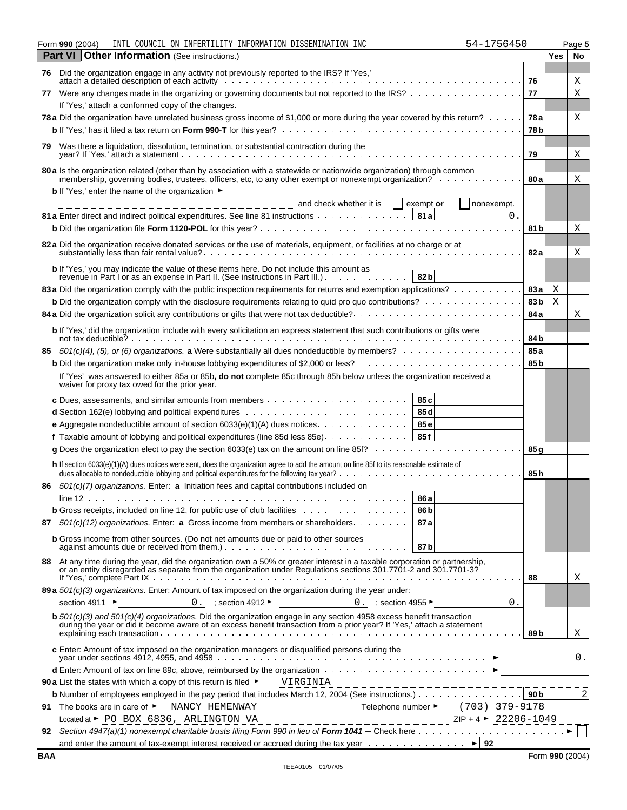#### **Form 990** (2004) INTL COUNCIL ON INFERTILITY INFORMATION DISSEMINATION INC 54-1756450 Page 5 **Part VI** Other Information (See instructions.) **Yes** No

| 76 | Did the organization engage in any activity not previously reported to the IRS? If 'Yes,'                                                                                                                                                                                                 |                 |   |    |
|----|-------------------------------------------------------------------------------------------------------------------------------------------------------------------------------------------------------------------------------------------------------------------------------------------|-----------------|---|----|
|    | attach a detailed description of each activity                                                                                                                                                                                                                                            | 76              |   | Χ  |
| 77 | Were any changes made in the organizing or governing documents but not reported to the IRS?                                                                                                                                                                                               | 77              |   | Χ  |
|    | If 'Yes,' attach a conformed copy of the changes.                                                                                                                                                                                                                                         |                 |   |    |
|    | 78 a Did the organization have unrelated business gross income of \$1,000 or more during the year covered by this return?                                                                                                                                                                 | 78 a            |   | Χ  |
|    |                                                                                                                                                                                                                                                                                           | 78 <sub>b</sub> |   |    |
| 79 | Was there a liquidation, dissolution, termination, or substantial contraction during the                                                                                                                                                                                                  | 79              |   | Χ  |
|    | 80 a Is the organization related (other than by association with a statewide or nationwide organization) through common                                                                                                                                                                   |                 |   |    |
|    | membership, governing bodies, trustees, officers, etc, to any other exempt or nonexempt organization?                                                                                                                                                                                     | 80 a            |   | Χ  |
|    | <b>b</b> If 'Yes,' enter the name of the organization $\blacktriangleright$                                                                                                                                                                                                               |                 |   |    |
|    | and check whether it is<br>exempt or<br>nonexempt.<br>_ _ _ _ _ _ _ _ _ _ _ _ _                                                                                                                                                                                                           |                 |   |    |
|    | 81 a Enter direct and indirect political expenditures. See line 81 instructions 81 a<br>0.                                                                                                                                                                                                |                 |   |    |
|    |                                                                                                                                                                                                                                                                                           | 81 b            |   | Χ  |
|    | 82 a Did the organization receive donated services or the use of materials, equipment, or facilities at no charge or at                                                                                                                                                                   | 82 a            |   | Χ  |
|    | b If 'Yes,' you may indicate the value of these items here. Do not include this amount as                                                                                                                                                                                                 |                 |   |    |
|    | revenue in Part I or as an expense in Part II. (See instructions in Part III.)<br>82 <sub>b</sub><br>83 a Did the organization comply with the public inspection requirements for returns and exemption applications?                                                                     | 83 a            | Χ |    |
|    | <b>b</b> Did the organization comply with the disclosure requirements relating to quid pro quo contributions?                                                                                                                                                                             | 83b             | Χ |    |
|    |                                                                                                                                                                                                                                                                                           | 84 a            |   | X  |
|    |                                                                                                                                                                                                                                                                                           |                 |   |    |
|    | b If 'Yes,' did the organization include with every solicitation an express statement that such contributions or gifts were<br>not tax deductible? $\cdots$ $\cdots$ $\cdots$ $\cdots$ $\cdots$ $\cdots$ $\cdots$ $\cdots$ $\cdots$ $\cdots$ $\cdots$ $\cdots$ $\cdots$ $\cdots$ $\cdots$ | 84 b            |   |    |
|    | 85 $501(c)(4)$ , (5), or (6) organizations. a Were substantially all dues nondeductible by members?                                                                                                                                                                                       | 85 a            |   |    |
|    |                                                                                                                                                                                                                                                                                           | 85 <sub>b</sub> |   |    |
|    | If 'Yes' was answered to either 85a or 85b, do not complete 85c through 85h below unless the organization received a<br>waiver for proxy tax owed for the prior year.                                                                                                                     |                 |   |    |
|    | 85 <sub>c</sub>                                                                                                                                                                                                                                                                           |                 |   |    |
|    | 85 d                                                                                                                                                                                                                                                                                      |                 |   |    |
|    | 85e<br><b>e</b> Aggregate nondeductible amount of section $6033(e)(1)(A)$ dues notices $\ldots \ldots \ldots \ldots$                                                                                                                                                                      |                 |   |    |
|    | 85f<br><b>f</b> Taxable amount of lobbying and political expenditures (line 85d less 85e) $\ldots \ldots \ldots \ldots$                                                                                                                                                                   |                 |   |    |
|    | g Does the organization elect to pay the section 6033(e) tax on the amount on line 85f? $\ldots$                                                                                                                                                                                          | 85g             |   |    |
|    | h If section 6033(e)(1)(A) dues notices were sent, does the organization agree to add the amount on line 85f to its reasonable estimate of<br>dues allocable to nondeductible lobbying and political expenditures for the following tax year?<br>.                                        | 85 h            |   |    |
| 86 | 501(c)(7) organizations. Enter: a Initiation fees and capital contributions included on                                                                                                                                                                                                   |                 |   |    |
|    | 86 a<br>$line 12 \ldots \ldots$                                                                                                                                                                                                                                                           |                 |   |    |
|    | <b>b</b> Gross receipts, included on line 12, for public use of club facilities $\cdots$<br>86 <sub>b</sub>                                                                                                                                                                               |                 |   |    |
| 87 | 501(c)(12) organizations. Enter: a Gross income from members or shareholders.<br>87 a                                                                                                                                                                                                     |                 |   |    |
|    | <b>b</b> Gross income from other sources. (Do not net amounts due or paid to other sources<br>87b                                                                                                                                                                                         |                 |   |    |
|    | 88 At any time during the year, did the organization own a 50% or greater interest in a taxable corporation or partnership,<br>or an entity disregarded as separate from the organization under Regulations sections 301.7701-2 a                                                         | 88              |   | X  |
|    | 89 a 501(c)(3) organizations. Enter: Amount of tax imposed on the organization during the year under:                                                                                                                                                                                     |                 |   |    |
|    | 0. $;\text{section }4912$ $\blacktriangleright$<br>section 4911 ►<br>0. ; section 4955 $\blacktriangleright$<br>0.                                                                                                                                                                        |                 |   |    |
|    | <b>b</b> $501(c)(3)$ and $501(c)(4)$ organizations. Did the organization engage in any section 4958 excess benefit transaction<br>during the year or did it become aware of an excess benefit transaction from a prior year? If 'Yes,' attach a statement                                 | 89 b            |   | Χ  |
|    | c Enter: Amount of tax imposed on the organization managers or disqualified persons during the                                                                                                                                                                                            |                 |   | 0. |
|    |                                                                                                                                                                                                                                                                                           |                 |   |    |
|    | 90 a List the states with which a copy of this return is filed ►                                                                                                                                                                                                                          |                 |   |    |
|    |                                                                                                                                                                                                                                                                                           |                 |   |    |
| 91 | Telephone number ► $(703) - 379 - 9178$<br>$NANCY$ HEMENWAY _ _ _ _ _ _ _ _ _ _ _ _ _<br>The books are in care of $\blacktriangleright$                                                                                                                                                   |                 |   |    |
|    | Located at $\blacktriangleright$ PO BOX 6836, ARLINGTON VA                                                                                                                                                                                                                                |                 |   |    |
| 92 |                                                                                                                                                                                                                                                                                           |                 |   |    |

and enter the amount of tax-exempt interest received or accrued during the tax year  $\dots \dots \dots \dots \dots$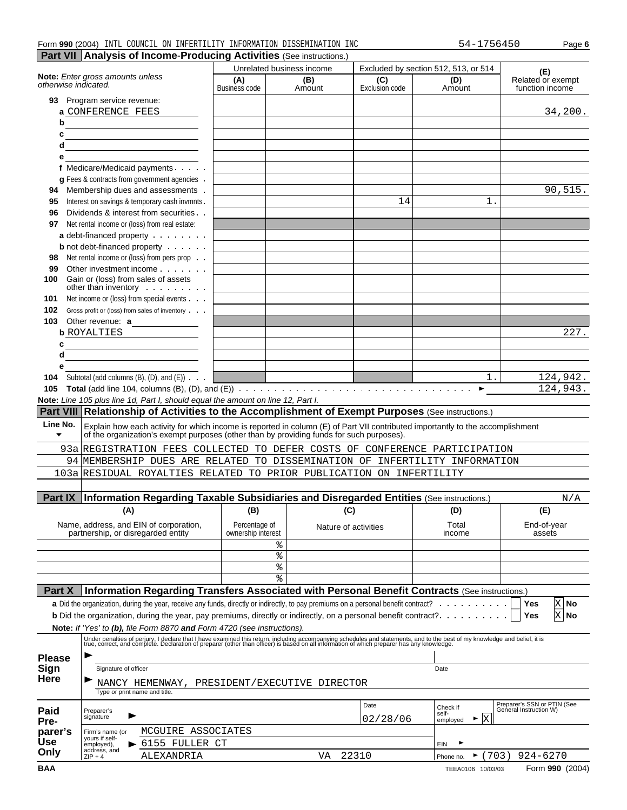| INFORMATION DISSEMINATION<br>INC<br>COUNCII<br>990(2004)<br>INFERTILITY<br>INTI<br>ON<br>75645.<br>Form<br>54- | Page 6 |
|----------------------------------------------------------------------------------------------------------------|--------|
|----------------------------------------------------------------------------------------------------------------|--------|

|                                                                                |                                                                                                                                                                                                                                   |                                     | Unrelated business income |                              | Excluded by section 512, 513, or 514 | (E)                                                   |
|--------------------------------------------------------------------------------|-----------------------------------------------------------------------------------------------------------------------------------------------------------------------------------------------------------------------------------|-------------------------------------|---------------------------|------------------------------|--------------------------------------|-------------------------------------------------------|
| otherwise indicated.                                                           | Note: Enter gross amounts unless                                                                                                                                                                                                  | (A)<br>Business code                | (B)<br>Amount             | (C)<br><b>Exclusion code</b> | (D)<br>Amount                        | Related or exempt<br>function income                  |
|                                                                                | 93 Program service revenue:                                                                                                                                                                                                       |                                     |                           |                              |                                      |                                                       |
|                                                                                | a CONFERENCE FEES                                                                                                                                                                                                                 |                                     |                           |                              |                                      | 34,200.                                               |
| b                                                                              |                                                                                                                                                                                                                                   |                                     |                           |                              |                                      |                                                       |
| c<br>d                                                                         | <u> 1989 - Johann Barbara, martin a</u>                                                                                                                                                                                           |                                     |                           |                              |                                      |                                                       |
| е                                                                              | <u> 1989 - Johann Barn, mars an t-Amerikaansk politiker (</u>                                                                                                                                                                     |                                     |                           |                              |                                      |                                                       |
|                                                                                | f Medicare/Medicaid payments                                                                                                                                                                                                      |                                     |                           |                              |                                      |                                                       |
|                                                                                | g Fees & contracts from government agencies .                                                                                                                                                                                     |                                     |                           |                              |                                      |                                                       |
| 94                                                                             | Membership dues and assessments.                                                                                                                                                                                                  |                                     |                           |                              |                                      | 90,515.                                               |
| 95                                                                             | Interest on savings & temporary cash invmnts.                                                                                                                                                                                     |                                     |                           | 14                           | $1$ .                                |                                                       |
| 96                                                                             | Dividends & interest from securities                                                                                                                                                                                              |                                     |                           |                              |                                      |                                                       |
| 97                                                                             | Net rental income or (loss) from real estate:                                                                                                                                                                                     |                                     |                           |                              |                                      |                                                       |
|                                                                                | a debt-financed property                                                                                                                                                                                                          |                                     |                           |                              |                                      |                                                       |
| 98                                                                             | <b>b</b> not debt-financed property $\cdots$<br>Net rental income or (loss) from pers prop                                                                                                                                        |                                     |                           |                              |                                      |                                                       |
| 99                                                                             | Other investment income                                                                                                                                                                                                           |                                     |                           |                              |                                      |                                                       |
| 100                                                                            | Gain or (loss) from sales of assets                                                                                                                                                                                               |                                     |                           |                              |                                      |                                                       |
|                                                                                | other than inventory $\cdots$                                                                                                                                                                                                     |                                     |                           |                              |                                      |                                                       |
| 101                                                                            | Net income or (loss) from special events                                                                                                                                                                                          |                                     |                           |                              |                                      |                                                       |
| 102                                                                            | Gross profit or (loss) from sales of inventory                                                                                                                                                                                    |                                     |                           |                              |                                      |                                                       |
| 103                                                                            | Other revenue: $a_$<br><b>b</b> ROYALTIES                                                                                                                                                                                         |                                     |                           |                              |                                      | 227.                                                  |
| c                                                                              |                                                                                                                                                                                                                                   |                                     |                           |                              |                                      |                                                       |
| d                                                                              |                                                                                                                                                                                                                                   |                                     |                           |                              |                                      |                                                       |
| е                                                                              |                                                                                                                                                                                                                                   |                                     |                           |                              |                                      |                                                       |
|                                                                                | Subtotal (add columns $(B)$ , $(D)$ , and $(E)$ ) $\cdots$                                                                                                                                                                        |                                     |                           |                              | $1$ .                                | 124,942.                                              |
| 104                                                                            |                                                                                                                                                                                                                                   |                                     |                           |                              |                                      |                                                       |
| 105                                                                            |                                                                                                                                                                                                                                   |                                     |                           |                              | $\blacktriangleright$                |                                                       |
|                                                                                | Note: Line 105 plus line 1d, Part I, should equal the amount on line 12, Part I.                                                                                                                                                  |                                     |                           |                              |                                      |                                                       |
|                                                                                |                                                                                                                                                                                                                                   |                                     |                           |                              |                                      |                                                       |
| Line No.                                                                       | Part VIII Relationship of Activities to the Accomplishment of Exempt Purposes (See instructions.)                                                                                                                                 |                                     |                           |                              |                                      |                                                       |
| $\blacktriangledown$                                                           | Explain how each activity for which income is reported in column (E) of Part VII contributed importantly to the accomplishment<br>of the organization's exempt purposes (other than by providing funds for such purposes).        |                                     |                           |                              |                                      |                                                       |
|                                                                                | 93a REGISTRATION FEES COLLECTED TO DEFER COSTS OF CONFERENCE PARTICIPATION                                                                                                                                                        |                                     |                           |                              |                                      |                                                       |
|                                                                                | 94 MEMBERSHIP DUES ARE RELATED TO DISSEMINATION OF INFERTILITY INFORMATION                                                                                                                                                        |                                     |                           |                              |                                      |                                                       |
|                                                                                | 103a RESIDUAL ROYALTIES RELATED TO PRIOR PUBLICATION ON INFERTILITY                                                                                                                                                               |                                     |                           |                              |                                      |                                                       |
|                                                                                |                                                                                                                                                                                                                                   |                                     |                           |                              |                                      |                                                       |
|                                                                                | <b>Information Regarding Taxable Subsidiaries and Disregarded Entities (See instructions.)</b>                                                                                                                                    |                                     |                           |                              |                                      | N/A                                                   |
|                                                                                | (A)                                                                                                                                                                                                                               | (B)                                 | (C)                       |                              | (D)                                  | (E)                                                   |
|                                                                                |                                                                                                                                                                                                                                   |                                     |                           |                              |                                      |                                                       |
|                                                                                | Name, address, and EIN of corporation,<br>partnership, or disregarded entity                                                                                                                                                      | Percentage of<br>ownership interest |                           | Nature of activities         | Total<br>income                      | End-of-year<br>assets                                 |
|                                                                                |                                                                                                                                                                                                                                   |                                     | %                         |                              |                                      |                                                       |
|                                                                                |                                                                                                                                                                                                                                   |                                     | $\,$ $\,$                 |                              |                                      |                                                       |
|                                                                                |                                                                                                                                                                                                                                   |                                     | ್ಠಿ                       |                              |                                      |                                                       |
|                                                                                |                                                                                                                                                                                                                                   |                                     | °                         |                              |                                      |                                                       |
| Part IX<br>Part X                                                              | Information Regarding Transfers Associated with Personal Benefit Contracts (See instructions.)                                                                                                                                    |                                     |                           |                              |                                      |                                                       |
|                                                                                | a Did the organization, during the year, receive any funds, directly or indirectly, to pay premiums on a personal benefit contract?                                                                                               |                                     |                           |                              | .                                    | X No<br>Yes                                           |
|                                                                                | <b>b</b> Did the organization, during the year, pay premiums, directly or indirectly, on a personal benefit contract?.                                                                                                            |                                     |                           |                              |                                      | X No<br>Yes                                           |
|                                                                                | Note: If 'Yes' to (b), file Form 8870 and Form 4720 (see instructions).                                                                                                                                                           |                                     |                           |                              |                                      |                                                       |
|                                                                                | Under penalties of perjury, I declare that I have examined this return, including accompanying schedules and statements, and to the best of my knowledge and belief, it is<br>true, correct, and complete. Declaration of prepare |                                     |                           |                              |                                      |                                                       |
|                                                                                |                                                                                                                                                                                                                                   |                                     |                           |                              |                                      |                                                       |
|                                                                                | Signature of officer                                                                                                                                                                                                              |                                     |                           |                              | Date                                 |                                                       |
|                                                                                |                                                                                                                                                                                                                                   |                                     |                           |                              |                                      |                                                       |
|                                                                                | NANCY HEMENWAY, PRESIDENT/EXECUTIVE DIRECTOR<br>Type or print name and title.                                                                                                                                                     |                                     |                           |                              |                                      |                                                       |
|                                                                                |                                                                                                                                                                                                                                   |                                     |                           | Date                         |                                      |                                                       |
|                                                                                | Preparer's<br>signature                                                                                                                                                                                                           |                                     |                           |                              | Check if<br>self-                    | Preparer's SSN or PTIN (See<br>General Instruction W) |
|                                                                                |                                                                                                                                                                                                                                   |                                     |                           | 02/28/06                     | $\mathbf{x}$<br>►<br>employed        | 124,943.                                              |
|                                                                                | MCGUIRE ASSOCIATES<br>Firm's name (or<br>yours if self-                                                                                                                                                                           |                                     |                           |                              |                                      |                                                       |
| <b>Please</b><br>Sign<br><b>Here</b><br>Paid<br>Pre-<br>parer's<br>Use<br>Only | 6155 FULLER CT<br>employed),<br>address, and<br>ALEXANDRIA<br>$ZIP + 4$                                                                                                                                                           |                                     | VA                        | 22310                        | EIN<br>(703)<br>Phone no.            | $924 - 6270$                                          |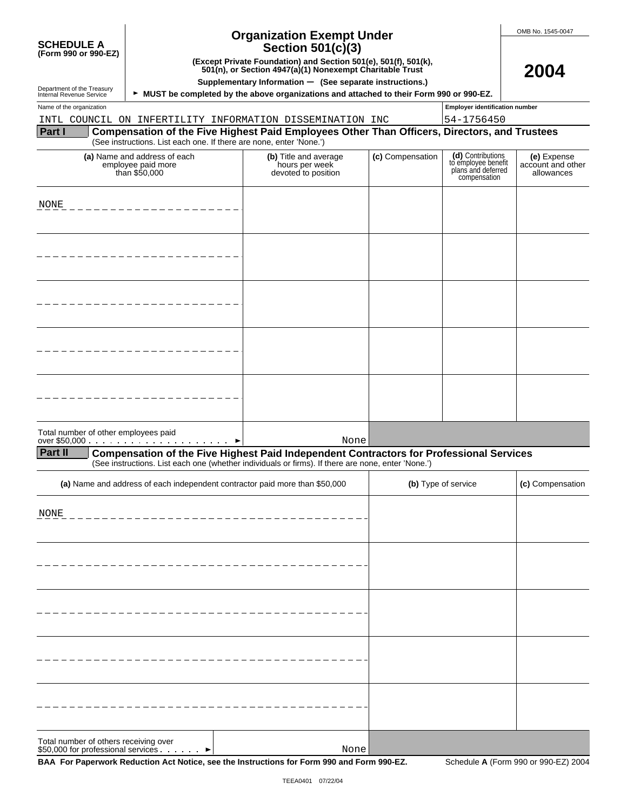| <b>SCHEDULE A</b><br>(Form 990 or 990-EZ)                                   | (Except Private Foundation) and Section 501(e), 501(f), 501(k), 501(n), or Section 4947(a)(1) Nonexempt Charitable Trust<br>Supplementary Information - (See separate instructions.) |                                                                                                                                                                                                      | OMB No. 1545-0047<br>2004 |                                                                                |                                                |
|-----------------------------------------------------------------------------|--------------------------------------------------------------------------------------------------------------------------------------------------------------------------------------|------------------------------------------------------------------------------------------------------------------------------------------------------------------------------------------------------|---------------------------|--------------------------------------------------------------------------------|------------------------------------------------|
| Department of the Treasury<br>Internal Revenue Service                      |                                                                                                                                                                                      | ► MUST be completed by the above organizations and attached to their Form 990 or 990-EZ.                                                                                                             |                           |                                                                                |                                                |
| Name of the organization                                                    |                                                                                                                                                                                      |                                                                                                                                                                                                      |                           | <b>Employer identification number</b>                                          |                                                |
|                                                                             |                                                                                                                                                                                      | INTL COUNCIL ON INFERTILITY INFORMATION DISSEMINATION INC                                                                                                                                            |                           | 54-1756450                                                                     |                                                |
| Part I                                                                      | (See instructions. List each one. If there are none, enter 'None.')                                                                                                                  | Compensation of the Five Highest Paid Employees Other Than Officers, Directors, and Trustees                                                                                                         |                           |                                                                                |                                                |
|                                                                             | (a) Name and address of each<br>employee paid more<br>than \$50,000                                                                                                                  | (b) Title and average<br>hours per week<br>devoted to position                                                                                                                                       | (c) Compensation          | (d) Contributions<br>to employee benefit<br>plans and deferred<br>compensation | (e) Expense<br>account and other<br>allowances |
| NONE                                                                        |                                                                                                                                                                                      |                                                                                                                                                                                                      |                           |                                                                                |                                                |
|                                                                             |                                                                                                                                                                                      |                                                                                                                                                                                                      |                           |                                                                                |                                                |
|                                                                             |                                                                                                                                                                                      |                                                                                                                                                                                                      |                           |                                                                                |                                                |
|                                                                             |                                                                                                                                                                                      |                                                                                                                                                                                                      |                           |                                                                                |                                                |
|                                                                             |                                                                                                                                                                                      |                                                                                                                                                                                                      |                           |                                                                                |                                                |
| Total number of other employees paid                                        |                                                                                                                                                                                      | None                                                                                                                                                                                                 |                           |                                                                                |                                                |
| <b>Part II</b>                                                              |                                                                                                                                                                                      | <b>Compensation of the Five Highest Paid Independent Contractors for Professional Services</b><br>(See instructions. List each one (whether individuals or firms). If there are none, enter 'None.') |                           |                                                                                |                                                |
|                                                                             |                                                                                                                                                                                      | (a) Name and address of each independent contractor paid more than \$50,000                                                                                                                          |                           | (b) Type of service                                                            | (c) Compensation                               |
| NONE                                                                        |                                                                                                                                                                                      |                                                                                                                                                                                                      |                           |                                                                                |                                                |
|                                                                             |                                                                                                                                                                                      |                                                                                                                                                                                                      |                           |                                                                                |                                                |
|                                                                             |                                                                                                                                                                                      |                                                                                                                                                                                                      |                           |                                                                                |                                                |
|                                                                             |                                                                                                                                                                                      |                                                                                                                                                                                                      |                           |                                                                                |                                                |
|                                                                             |                                                                                                                                                                                      |                                                                                                                                                                                                      |                           |                                                                                |                                                |
| Total number of others receiving over<br>\$50,000 for professional services |                                                                                                                                                                                      | None                                                                                                                                                                                                 |                           |                                                                                |                                                |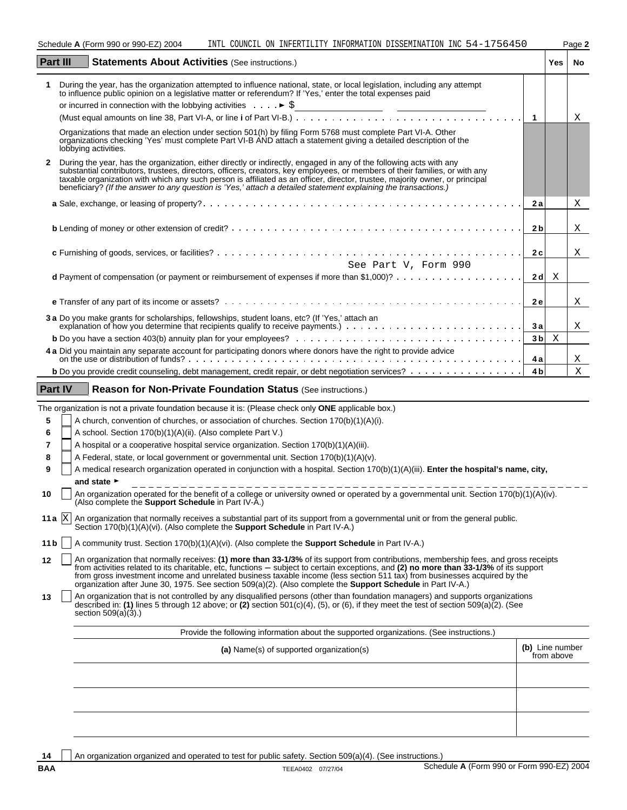|          |                | Schedule A (Form 990 or 990-EZ) 2004<br>INTL COUNCIL ON INFERTILITY INFORMATION DISSEMINATION INC 54-1756450                                                                                                                                                                                                                                                                                                                                                                                                                      |                 |                    | Page 2 |
|----------|----------------|-----------------------------------------------------------------------------------------------------------------------------------------------------------------------------------------------------------------------------------------------------------------------------------------------------------------------------------------------------------------------------------------------------------------------------------------------------------------------------------------------------------------------------------|-----------------|--------------------|--------|
| Part III |                | <b>Statements About Activities (See instructions.)</b>                                                                                                                                                                                                                                                                                                                                                                                                                                                                            |                 | Yes                | No.    |
|          |                | During the year, has the organization attempted to influence national, state, or local legislation, including any attempt<br>to influence public opinion on a legislative matter or referendum? If 'Yes,' enter the total expenses paid                                                                                                                                                                                                                                                                                           |                 |                    |        |
|          |                |                                                                                                                                                                                                                                                                                                                                                                                                                                                                                                                                   |                 |                    |        |
|          |                |                                                                                                                                                                                                                                                                                                                                                                                                                                                                                                                                   | $\mathbf{1}$    |                    | Χ      |
|          |                | Organizations that made an election under section 501(h) by filing Form 5768 must complete Part VI-A. Other<br>organizations checking 'Yes' must complete Part VI-B AND attach a statement giving a detailed description of the<br>lobbying activities.                                                                                                                                                                                                                                                                           |                 |                    |        |
| 2        |                | During the year, has the organization, either directly or indirectly, engaged in any of the following acts with any<br>substantial contributors, trustees, directors, officers, creators, key employees, or members of their families, or with any<br>taxable organization with which any such person is affiliated as an officer, director, trustee, majority owner, or principal<br>beneficiary? (If the answer to any question is 'Yes,' attach a detailed statement explaining the transactions.)                             |                 |                    |        |
|          |                |                                                                                                                                                                                                                                                                                                                                                                                                                                                                                                                                   | 2а              |                    | Χ      |
|          |                |                                                                                                                                                                                                                                                                                                                                                                                                                                                                                                                                   | 2 <sub>b</sub>  |                    | Χ      |
|          |                |                                                                                                                                                                                                                                                                                                                                                                                                                                                                                                                                   | 2c              |                    | X      |
|          |                | See Part V, Form 990                                                                                                                                                                                                                                                                                                                                                                                                                                                                                                              |                 |                    |        |
|          |                |                                                                                                                                                                                                                                                                                                                                                                                                                                                                                                                                   |                 | 2 d $\overline{X}$ |        |
|          |                |                                                                                                                                                                                                                                                                                                                                                                                                                                                                                                                                   | <b>2e</b>       |                    | Χ      |
|          |                | 3 a Do you make grants for scholarships, fellowships, student loans, etc? (If 'Yes,' attach an                                                                                                                                                                                                                                                                                                                                                                                                                                    |                 |                    |        |
|          |                | explanation of how you determine that recipients quality to receive payments.)                                                                                                                                                                                                                                                                                                                                                                                                                                                    | 3a              |                    | X      |
|          |                |                                                                                                                                                                                                                                                                                                                                                                                                                                                                                                                                   |                 | $3b \times$        |        |
|          |                | 4 a Did you maintain any separate account for participating donors where donors have the right to provide advice<br>on the use or distribution of funds?<br>expansion on the use or distribution of funds?                                                                                                                                                                                                                                                                                                                        | 4 a             |                    | Χ      |
|          |                | b Do you provide credit counseling, debt management, credit repair, or debt negotiation services?                                                                                                                                                                                                                                                                                                                                                                                                                                 | 4 <sub>b</sub>  |                    | X      |
|          | <b>Part IV</b> | Reason for Non-Private Foundation Status (See instructions.)                                                                                                                                                                                                                                                                                                                                                                                                                                                                      |                 |                    |        |
|          |                | The organization is not a private foundation because it is: (Please check only <b>ONE</b> applicable box.)                                                                                                                                                                                                                                                                                                                                                                                                                        |                 |                    |        |
| 5        |                | A church, convention of churches, or association of churches. Section 170(b)(1)(A)(i).                                                                                                                                                                                                                                                                                                                                                                                                                                            |                 |                    |        |
| 6        |                | A school. Section 170(b)(1)(A)(ii). (Also complete Part V.)                                                                                                                                                                                                                                                                                                                                                                                                                                                                       |                 |                    |        |
| 7        |                | A hospital or a cooperative hospital service organization. Section 170(b)(1)(A)(iii).                                                                                                                                                                                                                                                                                                                                                                                                                                             |                 |                    |        |
| 8        |                | A Federal, state, or local government or governmental unit. Section 170(b)(1)(A)(v).                                                                                                                                                                                                                                                                                                                                                                                                                                              |                 |                    |        |
| 9        |                | A medical research organization operated in conjunction with a hospital. Section 170(b)(1)(A)(iii). Enter the hospital's name, city,                                                                                                                                                                                                                                                                                                                                                                                              |                 |                    |        |
|          |                | and state $\blacktriangleright$                                                                                                                                                                                                                                                                                                                                                                                                                                                                                                   |                 |                    |        |
| 10       |                | An organization operated for the benefit of a college or university owned or operated by a governmental unit. Section 170(b)(1)(A)(iv).<br>(Also complete the Support Schedule in Part IV-A.)                                                                                                                                                                                                                                                                                                                                     |                 |                    |        |
|          | 11 a $X$       | An organization that normally receives a substantial part of its support from a governmental unit or from the general public.<br>Section 170(b)(1)(A)(vi). (Also complete the <b>Support Schedule</b> in Part IV-A.)                                                                                                                                                                                                                                                                                                              |                 |                    |        |
| 11 b     |                | A community trust. Section $170(b)(1)(A)(vi)$ . (Also complete the <b>Support Schedule</b> in Part IV-A.)                                                                                                                                                                                                                                                                                                                                                                                                                         |                 |                    |        |
| 12       |                | An organization that normally receives: (1) more than 33-1/3% of its support from contributions, membership fees, and gross receipts<br>from activities related to its charitable, etc, functions - subject to certain exceptions, and (2) no more than 33-1/3% of its support<br>from gross investment income and unrelated business taxable income (less section 511 tax) from businesses acquired by the<br>organization after June 30, 1975. See section 509(a)(2). (Also complete the <b>Support Schedule</b> in Part IV-A.) |                 |                    |        |
| 13       |                | An organization that is not controlled by any disqualified persons (other than foundation managers) and supports organizations<br>described in: (1) lines 5 through 12 above; or (2) section $501(c)(4)$ , (5), or (6), if they meet the test of section $509(a)(2)$ . (See<br>section $509(a)(3)$ .)                                                                                                                                                                                                                             |                 |                    |        |
|          |                | Provide the following information about the supported organizations. (See instructions.)                                                                                                                                                                                                                                                                                                                                                                                                                                          |                 |                    |        |
|          |                | (a) Name(s) of supported organization(s)                                                                                                                                                                                                                                                                                                                                                                                                                                                                                          | (b) Line number | from above         |        |
|          |                |                                                                                                                                                                                                                                                                                                                                                                                                                                                                                                                                   |                 |                    |        |
|          |                |                                                                                                                                                                                                                                                                                                                                                                                                                                                                                                                                   |                 |                    |        |

14 An organization organized and operated to test for public safety. Section 509(a)(4). (See instructions.)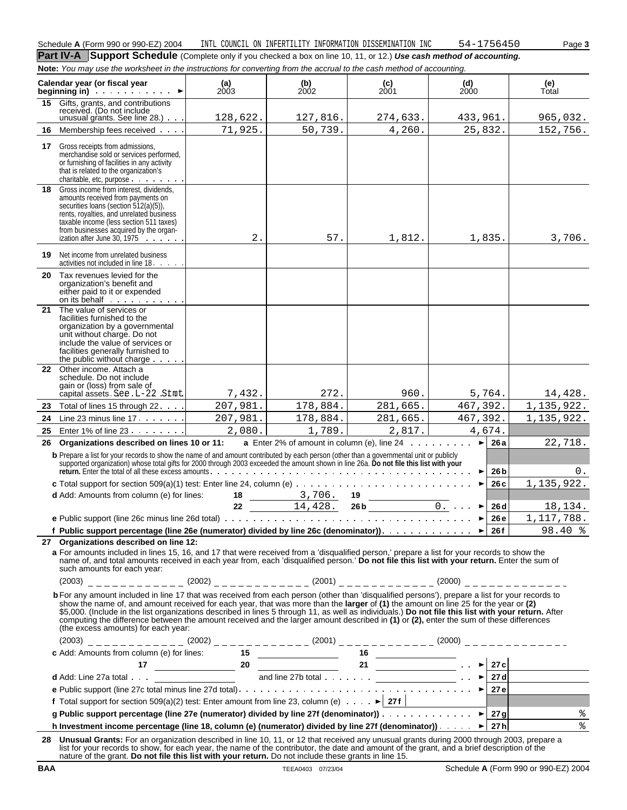**Part IV-A** Support Schedule (Complete only if you checked a box on line 10, 11, or 12.) Use cash method of accounting. **Note:** You may use the worksheet in the instructions for converting from the accrual to the cash method of accounting.

|    | wuc. Tou may use the worksheet in the instructions for convening from the accidar to the cash method or accounting.                                                                                                                                                                                                                                                                                                                                                                                                                                                                                                            |               |                                                     |                                                                        |                              |               |
|----|--------------------------------------------------------------------------------------------------------------------------------------------------------------------------------------------------------------------------------------------------------------------------------------------------------------------------------------------------------------------------------------------------------------------------------------------------------------------------------------------------------------------------------------------------------------------------------------------------------------------------------|---------------|-----------------------------------------------------|------------------------------------------------------------------------|------------------------------|---------------|
|    | Calendar year (or fiscal year<br>beginning in) $\qquad \qquad$                                                                                                                                                                                                                                                                                                                                                                                                                                                                                                                                                                 | (a)<br>$2003$ | $\begin{array}{c} \textbf{(b)} \\ 2002 \end{array}$ | $\binom{c}{2001}$                                                      | (d)<br><b>2000</b>           | (e)<br>Total  |
| 15 | Gifts, grants, and contributions<br>received. (Do not include<br>unusual grants. See line $28.$ ) $\cdots$                                                                                                                                                                                                                                                                                                                                                                                                                                                                                                                     | 128,622.      | 127,816.                                            | 274,633.                                                               | 433,961.                     | 965,032.      |
| 16 | Membership fees received                                                                                                                                                                                                                                                                                                                                                                                                                                                                                                                                                                                                       | 71,925.       | 50,739.                                             | 4,260.                                                                 | 25,832.                      | 152,756.      |
| 17 | Gross receipts from admissions,<br>merchandise sold or services performed,<br>or furnishing of facilities in any activity<br>that is related to the organization's<br>charitable, etc, purpose                                                                                                                                                                                                                                                                                                                                                                                                                                 |               |                                                     |                                                                        |                              |               |
| 18 | Gross income from interest, dividends,<br>amounts received from payments on<br>securities loans (section 512(a)(5)),<br>rents, royalties, and unrelated business<br>taxable income (less section 511 taxes)<br>from businesses acquired by the organ-<br>ization after June 30, 1975                                                                                                                                                                                                                                                                                                                                           | $2$ .         | 57.                                                 | 1,812.                                                                 | 1,835.                       | 3,706.        |
|    | <b>19</b> Net income from unrelated business<br>activities not included in line 18.                                                                                                                                                                                                                                                                                                                                                                                                                                                                                                                                            |               |                                                     |                                                                        |                              |               |
| 20 | Tax revenues levied for the<br>organization's benefit and<br>either paid to it or expended<br>on its behalf                                                                                                                                                                                                                                                                                                                                                                                                                                                                                                                    |               |                                                     |                                                                        |                              |               |
| 21 | The value of services or<br>facilities furnished to the<br>organization by a governmental<br>unit without charge. Do not<br>include the value of services or<br>facilities generally furnished to<br>the public without charge                                                                                                                                                                                                                                                                                                                                                                                                 |               |                                                     |                                                                        |                              |               |
| 22 | Other income. Attach a<br>schedule. Do not include<br>gain or (loss) from sale of<br>capital assets See L-22 Stmt                                                                                                                                                                                                                                                                                                                                                                                                                                                                                                              | 7,432.        | 272.                                                | 960.                                                                   | 5,764.                       | 14,428.       |
| 23 | Total of lines 15 through 22.                                                                                                                                                                                                                                                                                                                                                                                                                                                                                                                                                                                                  | 207,981.      | 178,884.                                            | 281,665.                                                               | 467,392.                     | 1, 135, 922.  |
| 24 | Line 23 minus line $17.$                                                                                                                                                                                                                                                                                                                                                                                                                                                                                                                                                                                                       | 207,981.      | 178,884.                                            | 281,665.                                                               | 467,392.                     | 1, 135, 922.  |
| 25 | Enter 1% of line 23                                                                                                                                                                                                                                                                                                                                                                                                                                                                                                                                                                                                            | 2,080.        | 1,789.                                              | 2,817.                                                                 | 4,674.                       |               |
| 26 | Organizations described on lines 10 or 11:                                                                                                                                                                                                                                                                                                                                                                                                                                                                                                                                                                                     |               |                                                     | <b>a</b> Enter 2% of amount in column (e), line $24$ $\ldots$ $\ldots$ | $\blacktriangleright$<br>26a | 22,718.       |
|    | b Prepare a list for your records to show the name of and amount contributed by each person (other than a governmental unit or publicly<br>supported organization) whose total gifts for 2000 through 2003 exceeded the amount shown in line 26a. Do not file this list with your                                                                                                                                                                                                                                                                                                                                              |               |                                                     |                                                                        | 26 b                         | 0.            |
|    | <b>c</b> Total support for section 509(a)(1) test: Enter line 24, column (e) $\ldots \ldots \ldots \ldots \ldots \ldots \ldots \ldots \ldots$                                                                                                                                                                                                                                                                                                                                                                                                                                                                                  |               |                                                     |                                                                        | 26 c                         | 1,135,922.    |
|    | d Add: Amounts from column (e) for lines:                                                                                                                                                                                                                                                                                                                                                                                                                                                                                                                                                                                      | 18            | 3,706.                                              |                                                                        |                              |               |
|    |                                                                                                                                                                                                                                                                                                                                                                                                                                                                                                                                                                                                                                | $22 \,$       | 14,428.                                             | $\frac{19}{26 b}$ $\frac{0.}{0.}$                                      | 26 <sub>d</sub>              | 18,134.       |
|    |                                                                                                                                                                                                                                                                                                                                                                                                                                                                                                                                                                                                                                |               |                                                     |                                                                        | 26 e                         | 1, 117, 788.  |
|    |                                                                                                                                                                                                                                                                                                                                                                                                                                                                                                                                                                                                                                |               |                                                     |                                                                        |                              | 98.40 %       |
|    | 27 Organizations described on line 12:<br>a For amounts included in lines 15, 16, and 17 that were received from a 'disqualified person,' prepare a list for your records to show the<br>name of, and total amounts received in each year from, each 'disqualified person.' Do not file this list with your return. Enter the sum of<br>such amounts for each year:                                                                                                                                                                                                                                                            |               |                                                     |                                                                        |                              |               |
|    | $(2003)$ _ _ _ _ _ _ _ _ _ _ _ (2002) _ _ _ _ _ _ _ _ _ _ (2001) _ _ _ _ _ _ _ _ _ _ _ (2000) _ _ _ _ _ _ _ _ _ _ _ _                                                                                                                                                                                                                                                                                                                                                                                                                                                                                                          |               |                                                     |                                                                        |                              |               |
|    | b For any amount included in line 17 that was received from each person (other than 'disqualified persons'), prepare a list for your records to<br>show the name of, and amount received for each year, that was more than the larger of (1) the amount on line 25 for the year or (2)<br>\$5,000. (Include in the list organizations described in lines 5 through 11, as well as individuals.) Do not file this list with your return. After<br>computing the difference between the amount received and the larger amount described in (1) or (2), enter the sum of these differences<br>(the excess amounts) for each year: |               |                                                     |                                                                        |                              |               |
|    | $(2003)$ _ _ _ _ _ _ _ _ _ _ _ _ (2002) _ _ _ _ _ _ _ _ _ (2001) _ _ _ _ _ _ _ _ _ (2000) _ _ _ _ _ _ _ _ _ _ _ _ _                                                                                                                                                                                                                                                                                                                                                                                                                                                                                                            |               |                                                     |                                                                        |                              |               |
|    |                                                                                                                                                                                                                                                                                                                                                                                                                                                                                                                                                                                                                                |               |                                                     |                                                                        |                              |               |
|    |                                                                                                                                                                                                                                                                                                                                                                                                                                                                                                                                                                                                                                |               |                                                     |                                                                        |                              |               |
|    |                                                                                                                                                                                                                                                                                                                                                                                                                                                                                                                                                                                                                                |               |                                                     |                                                                        |                              |               |
|    | f Total support for section 509(a)(2) test: Enter amount from line 23, column (e) $\overrightarrow{27f}$   27f                                                                                                                                                                                                                                                                                                                                                                                                                                                                                                                 |               |                                                     |                                                                        |                              |               |
|    | g Public support percentage (line 27e (numerator) divided by line 27f (denominator))                                                                                                                                                                                                                                                                                                                                                                                                                                                                                                                                           |               |                                                     |                                                                        |                              | $\frac{8}{6}$ |
|    | h Investment income percentage (line 18, column (e) (numerator) divided by line 27f (denominator)). $\blacktriangleright$ 27h                                                                                                                                                                                                                                                                                                                                                                                                                                                                                                  |               |                                                     |                                                                        |                              | కి            |
|    | 28 Unusual Grants: For an organization described in line 10, 11, or 12 that received any unusual grants during 2000 through 2003, prepare a                                                                                                                                                                                                                                                                                                                                                                                                                                                                                    |               |                                                     |                                                                        |                              |               |
|    | list for your records to show, for each year, the name of the contributor, the date and amount of the grant, and a brief description of the<br>nature of the grant. Do not file this list with your return. Do not include these grants in line 15.                                                                                                                                                                                                                                                                                                                                                                            |               |                                                     |                                                                        |                              |               |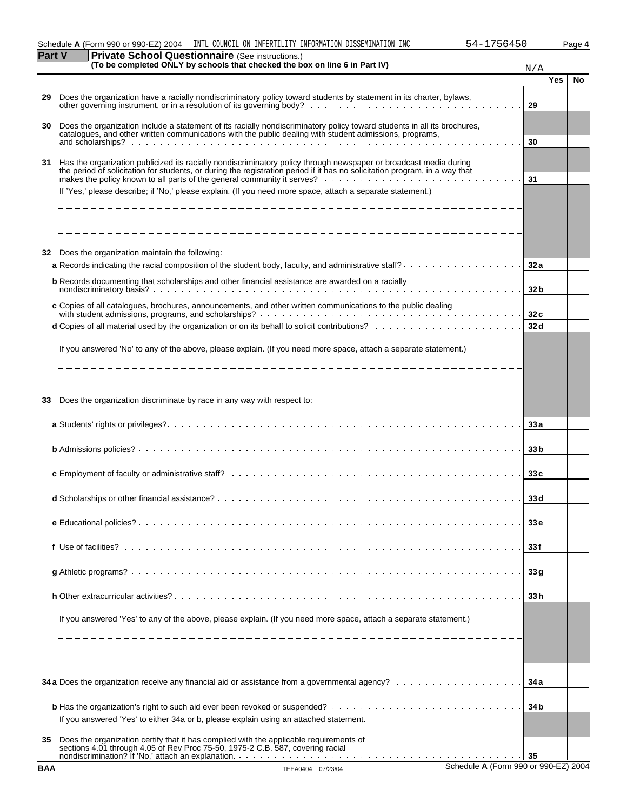| Schedule A (Form 990 or 990-EZ) 2004<br>INTL COUNCIL ON INFERTILITY INFORMATION DISSEMINATION INC<br>756450<br>54- | Page 4 |
|--------------------------------------------------------------------------------------------------------------------|--------|

| art        | are $\sigma$ cribor Questionitaire (see instructions.)<br>(To be completed ONLY by schools that checked the box on line 6 in Part IV)                                                                                                            | N/A             |            |           |
|------------|--------------------------------------------------------------------------------------------------------------------------------------------------------------------------------------------------------------------------------------------------|-----------------|------------|-----------|
|            |                                                                                                                                                                                                                                                  |                 | <b>Yes</b> | <b>No</b> |
| 29         | Does the organization have a racially nondiscriminatory policy toward students by statement in its charter, bylaws,                                                                                                                              | 29              |            |           |
| 30         | Does the organization include a statement of its racially nondiscriminatory policy toward students in all its brochures,<br>catalogues, and other written communications with the public dealing with student admissions, programs,              |                 |            |           |
|            |                                                                                                                                                                                                                                                  | 30              |            |           |
| 31         | Has the organization publicized its racially nondiscriminatory policy through newspaper or broadcast media during<br>the period of solicitation for students, or during the registration period if it has no solicitation program, in a way that | 31              |            |           |
|            | If 'Yes,' please describe; if 'No,' please explain. (If you need more space, attach a separate statement.)                                                                                                                                       |                 |            |           |
|            |                                                                                                                                                                                                                                                  |                 |            |           |
|            |                                                                                                                                                                                                                                                  |                 |            |           |
| 32         | Does the organization maintain the following:                                                                                                                                                                                                    |                 |            |           |
|            | <b>a</b> Records indicating the racial composition of the student body, faculty, and administrative staff? $\ldots$ , $\ldots$ , $\ldots$ , $\ldots$                                                                                             | 32 a            |            |           |
|            | <b>b</b> Records documenting that scholarships and other financial assistance are awarded on a racially                                                                                                                                          | 32 <sub>b</sub> |            |           |
|            |                                                                                                                                                                                                                                                  |                 |            |           |
|            | c Copies of all catalogues, brochures, announcements, and other written communications to the public dealing                                                                                                                                     | 32c             |            |           |
|            |                                                                                                                                                                                                                                                  | 32 d            |            |           |
|            | If you answered 'No' to any of the above, please explain. (If you need more space, attach a separate statement.)                                                                                                                                 |                 |            |           |
|            |                                                                                                                                                                                                                                                  |                 |            |           |
|            |                                                                                                                                                                                                                                                  |                 |            |           |
| 33         | Does the organization discriminate by race in any way with respect to:                                                                                                                                                                           |                 |            |           |
|            |                                                                                                                                                                                                                                                  | 33 a            |            |           |
|            |                                                                                                                                                                                                                                                  | 33 <sub>b</sub> |            |           |
|            |                                                                                                                                                                                                                                                  |                 |            |           |
|            |                                                                                                                                                                                                                                                  | 33c             |            |           |
|            |                                                                                                                                                                                                                                                  | 33 d            |            |           |
|            |                                                                                                                                                                                                                                                  | 33 <sub>e</sub> |            |           |
|            |                                                                                                                                                                                                                                                  | 33 f            |            |           |
|            |                                                                                                                                                                                                                                                  | 33g             |            |           |
|            |                                                                                                                                                                                                                                                  | 33 h            |            |           |
|            | If you answered 'Yes' to any of the above, please explain. (If you need more space, attach a separate statement.)                                                                                                                                |                 |            |           |
|            |                                                                                                                                                                                                                                                  |                 |            |           |
|            |                                                                                                                                                                                                                                                  |                 |            |           |
|            |                                                                                                                                                                                                                                                  | 34 a            |            |           |
|            |                                                                                                                                                                                                                                                  | 34 b            |            |           |
|            | If you answered 'Yes' to either 34a or b, please explain using an attached statement.                                                                                                                                                            |                 |            |           |
| 35         | Does the organization certify that it has complied with the applicable requirements of<br>sections 4.01 through 4.05 of Rev Proc 75-50, 1975-2 C.B. 587, covering racial                                                                         | -35             |            |           |
| <b>BAA</b> | Schedule A (Form 990 or 990-EZ) 2004<br>TEEA0404 07/23/04                                                                                                                                                                                        |                 |            |           |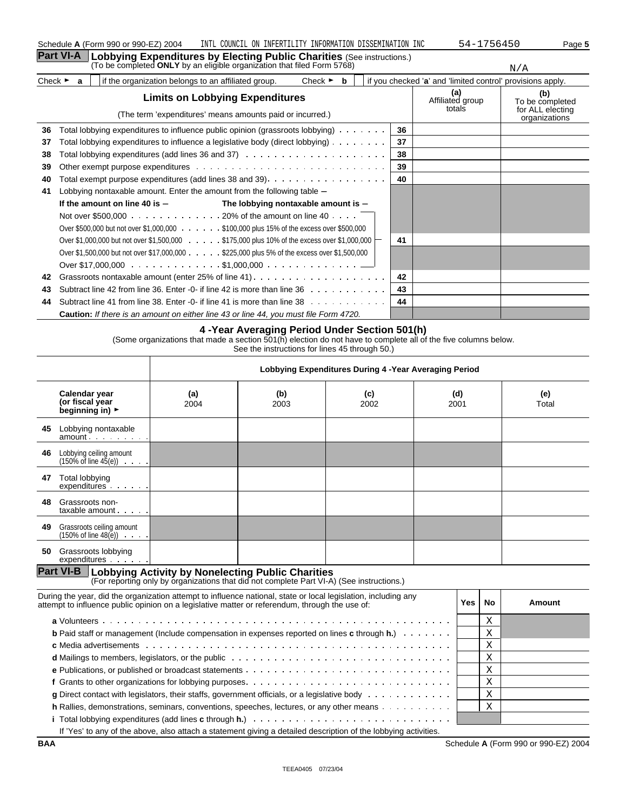|                             | <b>Part VI-A</b>                                                                            | Lobbying Expenditures by Electing Public Charities (See instructions.)                                               |    |                                                            |                                                             |  |  |
|-----------------------------|---------------------------------------------------------------------------------------------|----------------------------------------------------------------------------------------------------------------------|----|------------------------------------------------------------|-------------------------------------------------------------|--|--|
|                             |                                                                                             | (To be completed ONLY by an eligible organization that filed Form 5768)                                              |    |                                                            | N/A                                                         |  |  |
| Check $\blacktriangleright$ | a                                                                                           | if the organization belongs to an affiliated group.<br>Check $\blacktriangleright$<br>b                              |    | if you checked 'a' and 'limited control' provisions apply. |                                                             |  |  |
|                             |                                                                                             | <b>Limits on Lobbying Expenditures</b><br>(The term 'expenditures' means amounts paid or incurred.)                  |    | (a)<br>Affiliated group<br>totals                          | (b)<br>To be completed<br>for ALL electing<br>organizations |  |  |
| 36                          |                                                                                             | Total lobbying expenditures to influence public opinion (grassroots lobbying)                                        | 36 |                                                            |                                                             |  |  |
| 37                          |                                                                                             | Total lobbying expenditures to influence a legislative body (direct lobbying)                                        | 37 |                                                            |                                                             |  |  |
| 38                          |                                                                                             |                                                                                                                      | 38 |                                                            |                                                             |  |  |
| 39                          |                                                                                             |                                                                                                                      | 39 |                                                            |                                                             |  |  |
| 40                          |                                                                                             |                                                                                                                      | 40 |                                                            |                                                             |  |  |
| 41                          |                                                                                             | Lobbying nontaxable amount. Enter the amount from the following table -                                              |    |                                                            |                                                             |  |  |
|                             |                                                                                             | If the amount on line 40 is $-$<br>The lobbying nontaxable amount is $-$                                             |    |                                                            |                                                             |  |  |
|                             |                                                                                             | Not over \$500,000 $\ldots$ 20% of the amount on line 40 $\ldots$ .                                                  |    |                                                            |                                                             |  |  |
|                             |                                                                                             | Over \$500,000 but not over \$1,000,000 \$100,000 plus 15% of the excess over \$500,000                              |    |                                                            |                                                             |  |  |
|                             |                                                                                             | Over \$1,000,000 but not over \$1,500,000 $\ldots \ldots$ \$175,000 plus 10% of the excess over \$1,000,000 $\vdash$ | 41 |                                                            |                                                             |  |  |
|                             | Over \$1,500,000 but not over \$17,000,000 \$225,000 plus 5% of the excess over \$1,500,000 |                                                                                                                      |    |                                                            |                                                             |  |  |
|                             |                                                                                             |                                                                                                                      |    |                                                            |                                                             |  |  |
| 42                          |                                                                                             | Grassroots nontaxable amount (enter 25% of line 41)                                                                  | 42 |                                                            |                                                             |  |  |
| 43                          |                                                                                             | Subtract line 42 from line 36. Enter -0- if line 42 is more than line $36 \ldots \ldots \ldots$                      | 43 |                                                            |                                                             |  |  |
| 44                          |                                                                                             | Subtract line 41 from line 38. Enter -0- if line 41 is more than line $38 \ldots$ ,                                  | 44 |                                                            |                                                             |  |  |
|                             |                                                                                             | <b>Caution:</b> If there is an amount on either line 43 or line 44, you must file Form 4720.                         |    |                                                            |                                                             |  |  |

#### **4 -Year Averaging Period Under Section 501(h)**

(Some organizations that made a section 501(h) election do not have to complete all of the five columns below. See the instructions for lines 45 through 50.)

|    |                                                                                     | Lobbying Expenditures During 4 - Year Averaging Period |             |             |             |              |
|----|-------------------------------------------------------------------------------------|--------------------------------------------------------|-------------|-------------|-------------|--------------|
|    | Calendar year<br>(or fiscal year<br>beginning in) $\blacktriangleright$             | (a)<br>2004                                            | (b)<br>2003 | (c)<br>2002 | (d)<br>2001 | (e)<br>Total |
| 45 | Lobbying nontaxable<br>amount                                                       |                                                        |             |             |             |              |
| 46 | Lobbying ceiling amount<br>$(150\% \text{ of line } 45(e)) \cdot \cdot \cdot \cdot$ |                                                        |             |             |             |              |
| 47 | Total lobbying<br>expenditures                                                      |                                                        |             |             |             |              |
| 48 | Grassroots non-<br>taxable amount                                                   |                                                        |             |             |             |              |
| 49 | Grassroots ceiling amount<br>$(150\% \text{ of line } 48(e)) \cdot \cdot \cdot$     |                                                        |             |             |             |              |
| 50 | Grassroots lobbying<br>expenditures                                                 |                                                        |             |             |             |              |

# **Part VI-B** | Lobbying Activity by Nonelecting Public Charities<br>(For reporting only by organizations that did not complete Part VI-A) (See instructions.)

| During the year, did the organization attempt to influence national, state or local legislation, including any<br>attempt to influence public opinion on a legislative matter or referendum, through the use of:               | Yes | No.         | Amount |
|--------------------------------------------------------------------------------------------------------------------------------------------------------------------------------------------------------------------------------|-----|-------------|--------|
|                                                                                                                                                                                                                                |     | $\tau$<br>A |        |
| <b>b</b> Paid staff or management (include compensation in expenses reported on lines <b>c</b> through $h$ .) $\ldots$                                                                                                         |     | Χ           |        |
|                                                                                                                                                                                                                                |     | Χ           |        |
| d Mailings to members, legislators, or the public enterprise in the content of Mailings to members, legislators, or the public enterprise in the content of Mailings to members, legislators, or the public enterprise of Mail |     | Χ           |        |
|                                                                                                                                                                                                                                |     | Χ           |        |
|                                                                                                                                                                                                                                |     | Χ           |        |
| <b>g</b> Direct contact with legislators, their staffs, government officials, or a legislative body $\cdots$                                                                                                                   |     | Χ           |        |
| <b>h</b> Rallies, demonstrations, seminars, conventions, speeches, lectures, or any other means $\dots \dots$                                                                                                                  |     | Χ           |        |
|                                                                                                                                                                                                                                |     |             |        |
| If 'Yes' to any of the above, also attach a statement giving a detailed description of the lobbying activities.                                                                                                                |     |             |        |

**BAA** Schedule **A** (Form 990 or 990-EZ) 2004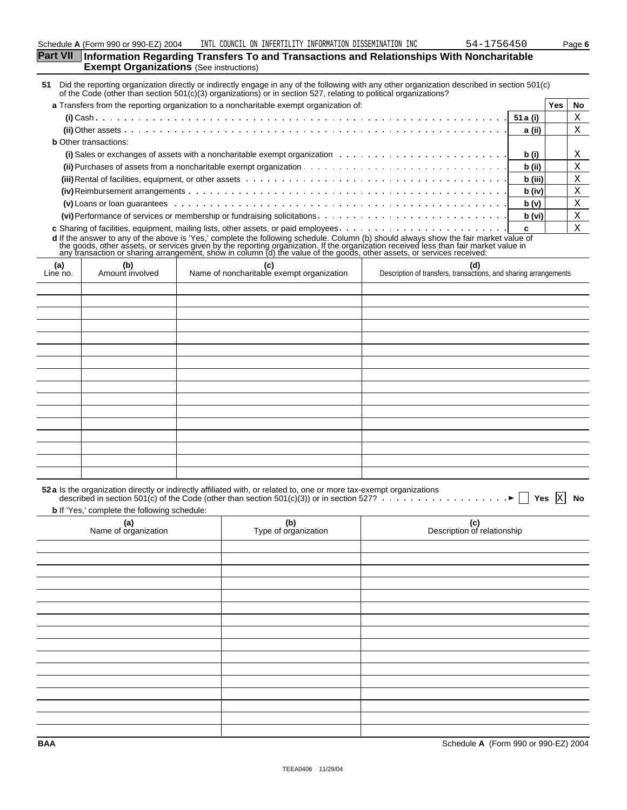| Part VII Information Regarding Transfers To and Transactions and Relationships With Noncharitable |
|---------------------------------------------------------------------------------------------------|
| <b>Exempt Organizations</b> (See instructions)                                                    |
|                                                                                                   |

**51** Did the reporting organization directly or indirectly engage in any of the following with any other organization described in section 501(c) of the Code (other than section 501(c)(3) organizations) or in section 527, relating to political organizations?

| a Transfers from the reporting organization to a noncharitable exempt organization of:                                                                                                                                              |         | Yes. | No. |
|-------------------------------------------------------------------------------------------------------------------------------------------------------------------------------------------------------------------------------------|---------|------|-----|
|                                                                                                                                                                                                                                     |         |      |     |
|                                                                                                                                                                                                                                     | a (ii)  |      |     |
| <b>b</b> Other transactions:                                                                                                                                                                                                        |         |      |     |
| (i) Sales or exchanges of assets with a noncharitable exempt organization $\ldots \ldots \ldots \ldots \ldots \ldots \ldots \ldots$                                                                                                 | b (i)   |      |     |
|                                                                                                                                                                                                                                     | b (ii)  |      | Х   |
| <b>(iii)</b> Rental of facilities, equipment, or other assets entermination of the content of the content of facilities, equipment, or other assets entermination of the content of the content of the content of the content of th | b (iii) |      |     |
|                                                                                                                                                                                                                                     | b (iv)  |      | Х   |
|                                                                                                                                                                                                                                     | b (v)   |      | A   |
|                                                                                                                                                                                                                                     | b (vi)  |      | Х   |
|                                                                                                                                                                                                                                     |         |      |     |

**c** Sharing of facilities, equipment, mailing lists, other assets, or paid employees **c** d If the answer to any of the above is 'Yes,' complete the following schedule. Column (b) should always show the fair market value of<br>the goods, other assets, or services given by the reporting organization. If the organiz

| (a)<br>Line no. | (b)<br>Amount involved | (c)<br>Name of noncharitable exempt organization | (d)<br>Description of transfers, transactions, and sharing arrangements |
|-----------------|------------------------|--------------------------------------------------|-------------------------------------------------------------------------|
|                 |                        |                                                  |                                                                         |
|                 |                        |                                                  |                                                                         |
|                 |                        |                                                  |                                                                         |
|                 |                        |                                                  |                                                                         |
|                 |                        |                                                  |                                                                         |
|                 |                        |                                                  |                                                                         |
|                 |                        |                                                  |                                                                         |
|                 |                        |                                                  |                                                                         |
|                 |                        |                                                  |                                                                         |
|                 |                        |                                                  |                                                                         |
|                 |                        |                                                  |                                                                         |
|                 |                        |                                                  |                                                                         |
|                 |                        |                                                  |                                                                         |
|                 |                        |                                                  |                                                                         |
|                 |                        |                                                  |                                                                         |
|                 |                        |                                                  |                                                                         |

| 52 a Is the organization directly or indirectly affiliated with, or related to, one or more tax-exempt organizations<br>described in section 501(c) of the Code (other than section 501(c)(3)) or in section 527? |                             |                                    |  |  |  |  |  |
|-------------------------------------------------------------------------------------------------------------------------------------------------------------------------------------------------------------------|-----------------------------|------------------------------------|--|--|--|--|--|
| <b>b</b> If 'Yes,' complete the following schedule:                                                                                                                                                               |                             |                                    |  |  |  |  |  |
| (a)<br>Name of organization                                                                                                                                                                                       | (b)<br>Type of organization | (c)<br>Description of relationship |  |  |  |  |  |
|                                                                                                                                                                                                                   |                             |                                    |  |  |  |  |  |
|                                                                                                                                                                                                                   |                             |                                    |  |  |  |  |  |
|                                                                                                                                                                                                                   |                             |                                    |  |  |  |  |  |
|                                                                                                                                                                                                                   |                             |                                    |  |  |  |  |  |
|                                                                                                                                                                                                                   |                             |                                    |  |  |  |  |  |
|                                                                                                                                                                                                                   |                             |                                    |  |  |  |  |  |
|                                                                                                                                                                                                                   |                             |                                    |  |  |  |  |  |
|                                                                                                                                                                                                                   |                             |                                    |  |  |  |  |  |
|                                                                                                                                                                                                                   |                             |                                    |  |  |  |  |  |
|                                                                                                                                                                                                                   |                             |                                    |  |  |  |  |  |
|                                                                                                                                                                                                                   |                             |                                    |  |  |  |  |  |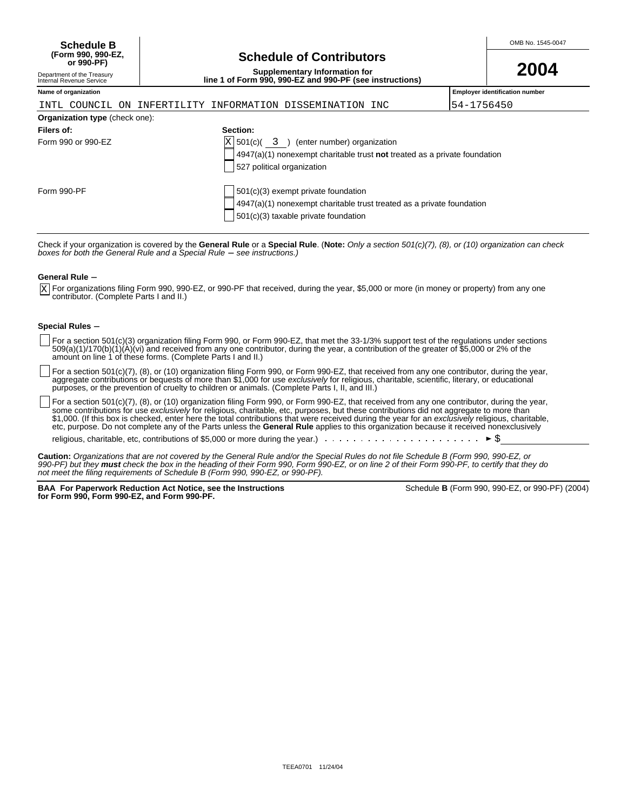| <b>Schedule B</b>  |                                 | OMB No. 1545-0047 |
|--------------------|---------------------------------|-------------------|
| (Form 990. 990-EZ. | <b>Schedule of Contributors</b> |                   |
| or 990-PF)         |                                 | nnn.              |

# **Schedule of Contributors**

**Supplementary Information for line 1 of Form 990, 990-EZ and 990-PF (see instructions)**

|  | 2004 |
|--|------|
|  |      |

### Department of the Treasury Internal Revenue Service

|  |  | INTL COUNCIL ON INFERTILITY INFORMATION DISSEMINATION INC |  |
|--|--|-----------------------------------------------------------|--|

**Name of organization Employer identification number**

54-1756450

| <b>Organization type (check one):</b> |                                                                             |
|---------------------------------------|-----------------------------------------------------------------------------|
| Filers of:                            | Section:                                                                    |
| Form 990 or 990-EZ                    | $X$ 501(c)( 3) (enter number) organization                                  |
|                                       | $4947(a)(1)$ nonexempt charitable trust not treated as a private foundation |
|                                       | 527 political organization                                                  |
|                                       |                                                                             |
| Form 990-PF                           | 501(c)(3) exempt private foundation                                         |
|                                       | 4947(a)(1) nonexempt charitable trust treated as a private foundation       |
|                                       | 501(c)(3) taxable private foundation                                        |

Check if your organization is covered by the **General Rule** or a **Special Rule**. (**Note:** Only a section 501(c)(7), (8), or (10) organization can check<br>*boxes for both the General Rule and a Special Rule — see instructions* 

#### **General Rule -**

For organizations filing Form 990, 990-EZ, or 990-PF that received, during the year, \$5,000 or more (in money or property) from any one contributor. (Complete Parts I and II.) X

#### **Special Rules -**

- For a section 501(c)(3) organization filing Form 990, or Form 990-EZ, that met the 33-1/3% support test of the regulations under sections 509(a)(1)/170(b)(1)(A)(vi) and received from any one contributor, during the year, a contribution of the greater of \$5,000 or 2% of the amount on line 1 of these forms. (Complete Parts I and II.)
- For a section 501(c)(7), (8), or (10) organization filing Form 990, or Form 990-EZ, that received from any one contributor, during the year, aggregate contributions or bequests of more than \$1,000 for use *exclusively* for religious, charitable, scientific, literary, or educational purposes, or the prevention of cruelty to children or animals. (Complete Parts I, II, and III.)

For a section 501(c)(7), (8), or (10) organization filing Form 990, or Form 990-EZ, that received from any one contributor, during the year, some contributions for use *exclusively* for religious, charitable, etc, purposes, but these contributions did not aggregate to more than \$1,000. (If this box is checked, enter here the total contributions that were received during the year for an exclusively religious, charitable, etc, purpose. Do not complete any of the Parts unless the **General Rule** applies to this organization because it received nonexclusively

religious, charitable, etc, contributions of \$5,000 or more during the year.)  $\ldots \ldots$ 

**Caution:** Organizations that are not covered by the General Rule and/or the Special Rules do not file Schedule B (Form 990, 990-EZ, or 990-PF) but they **must** check the box in the heading of their Form 990, Form 990-EZ, or on line 2 of their Form 990-PF, to certify that they do not meet the filing requirements of Schedule B (Form 990, 990-EZ, or 990-PF).

**BAA For Paperwork Reduction Act Notice, see the Instructions for Form 990, Form 990-EZ, and Form 990-PF.**

|  | Schedule <b>B</b> (Form 990, 990-EZ, or 990-PF) (2004) |  |  |  |
|--|--------------------------------------------------------|--|--|--|
|--|--------------------------------------------------------|--|--|--|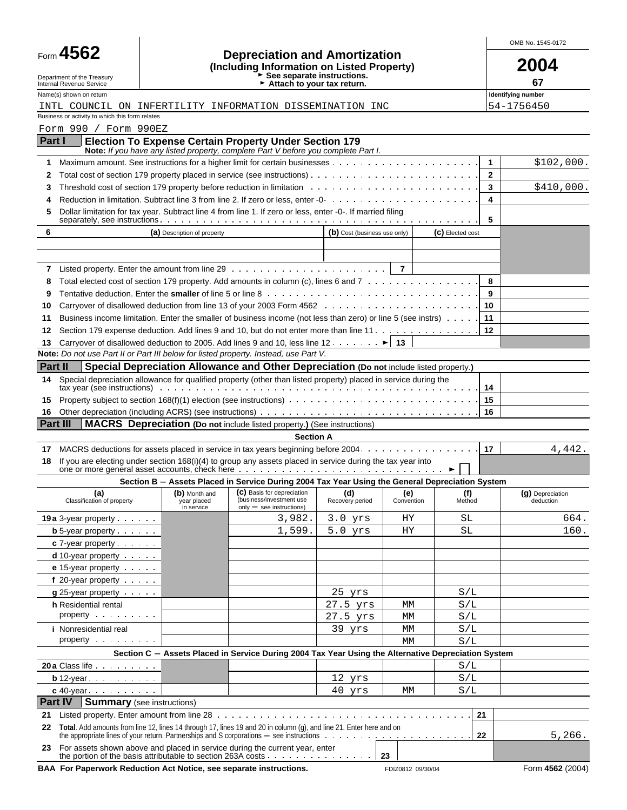|                                                                                                                              |                                                                                    |                                                                                                                                              |                              |                |                  |              | OMB No. 1545-0172             |
|------------------------------------------------------------------------------------------------------------------------------|------------------------------------------------------------------------------------|----------------------------------------------------------------------------------------------------------------------------------------------|------------------------------|----------------|------------------|--------------|-------------------------------|
| Form 4562<br>Department of the Treasury<br>Internal Revenue Service                                                          | <b>Depreciation and Amortization</b><br>(Including Information on Listed Property) |                                                                                                                                              | 2004<br>67                   |                |                  |              |                               |
| Name(s) shown on return                                                                                                      |                                                                                    | Attach to your tax return.                                                                                                                   |                              |                |                  |              | Identifying number            |
| INTL COUNCIL ON INFERTILITY INFORMATION DISSEMINATION INC                                                                    |                                                                                    |                                                                                                                                              |                              |                |                  |              | 54-1756450                    |
| Business or activity to which this form relates                                                                              |                                                                                    |                                                                                                                                              |                              |                |                  |              |                               |
| Form 990 / Form 990EZ<br>Part I                                                                                              |                                                                                    |                                                                                                                                              |                              |                |                  |              |                               |
|                                                                                                                              |                                                                                    | Election To Expense Certain Property Under Section 179<br>Note: If you have any listed property, complete Part V before you complete Part I. |                              |                |                  |              |                               |
| 1                                                                                                                            |                                                                                    |                                                                                                                                              |                              |                |                  | $\mathbf{1}$ | \$102,000.                    |
| 2                                                                                                                            |                                                                                    | Total cost of section 179 property placed in service (see instructions). $\ldots$ , , , , , ,                                                |                              |                |                  | $\mathbf{2}$ |                               |
| 3                                                                                                                            |                                                                                    |                                                                                                                                              |                              |                |                  | 3            | \$410,000.                    |
| 4                                                                                                                            |                                                                                    |                                                                                                                                              |                              |                |                  | 4            |                               |
| 5                                                                                                                            |                                                                                    | Dollar limitation for tax year. Subtract line 4 from line 1. If zero or less, enter -0-. If married filing                                   |                              |                |                  | 5            |                               |
| 6                                                                                                                            | (a) Description of property                                                        |                                                                                                                                              | (b) Cost (business use only) |                | (C) Elected cost |              |                               |
|                                                                                                                              |                                                                                    |                                                                                                                                              |                              |                |                  |              |                               |
|                                                                                                                              |                                                                                    |                                                                                                                                              |                              |                |                  |              |                               |
| 7                                                                                                                            |                                                                                    |                                                                                                                                              |                              | $\overline{7}$ |                  |              |                               |
| 8                                                                                                                            |                                                                                    | Total elected cost of section 179 property. Add amounts in column (c), lines 6 and 7                                                         |                              |                |                  | 8            |                               |
| 9                                                                                                                            |                                                                                    |                                                                                                                                              |                              |                |                  | 9            |                               |
| 10                                                                                                                           |                                                                                    |                                                                                                                                              |                              |                |                  | 10           |                               |
| 11                                                                                                                           |                                                                                    | Business income limitation. Enter the smaller of business income (not less than zero) or line 5 (see instrs)                                 |                              |                |                  | 11           |                               |
| 12                                                                                                                           |                                                                                    | Section 179 expense deduction. Add lines 9 and 10, but do not enter more than line 11.                                                       |                              |                |                  | 12           |                               |
| 13<br>Note: Do not use Part II or Part III below for listed property. Instead, use Part V.                                   |                                                                                    | Carryover of disallowed deduction to 2005. Add lines 9 and 10, less line 12. $\dots$ . $\blacktriangleright$ 13                              |                              |                |                  |              |                               |
| Part II                                                                                                                      |                                                                                    | Special Depreciation Allowance and Other Depreciation (Do not include listed property.)                                                      |                              |                |                  |              |                               |
| 14                                                                                                                           |                                                                                    | Special depreciation allowance for qualified property (other than listed property) placed in service during the                              |                              |                |                  |              |                               |
|                                                                                                                              |                                                                                    |                                                                                                                                              |                              |                |                  | 14           |                               |
| 15                                                                                                                           |                                                                                    |                                                                                                                                              |                              |                |                  | 15           |                               |
| 16                                                                                                                           |                                                                                    |                                                                                                                                              |                              |                |                  | 16           |                               |
| Part III                                                                                                                     |                                                                                    | <b>MACRS</b> Depreciation (Do not include listed property.) (See instructions)                                                               |                              |                |                  |              |                               |
|                                                                                                                              |                                                                                    | <b>Section A</b>                                                                                                                             |                              |                |                  |              |                               |
| 17<br>18                                                                                                                     |                                                                                    | If you are electing under section 168(i)(4) to group any assets placed in service during the tax year into                                   |                              |                |                  |              | 4,442.                        |
|                                                                                                                              |                                                                                    | Section B - Assets Placed in Service During 2004 Tax Year Using the General Depreciation System                                              |                              |                |                  |              |                               |
| (a)<br>Classification of property                                                                                            | year placed<br>in service                                                          | (b) Month and (c) Basis for depreciation (d) (e) (f)<br>(business/investment use<br>$only - see$ instructions)                               | Recovery period              | Convention     | Method           |              | (g) Depreciation<br>deduction |
| <b>19a</b> $3$ -year property $\cdots$                                                                                       |                                                                                    | 3,982.                                                                                                                                       | $3.0$ yrs                    | ΗY             | SL               |              | 664.                          |
| <b>b</b> 5-year property $\cdots$                                                                                            |                                                                                    | 1,599.                                                                                                                                       | $5.0$ yrs                    | ΗY             | SL               |              | 160.                          |
| $c$ 7-year property $\cdots$                                                                                                 |                                                                                    |                                                                                                                                              |                              |                |                  |              |                               |
| d 10-year property                                                                                                           |                                                                                    |                                                                                                                                              |                              |                |                  |              |                               |
| e 15-year property                                                                                                           |                                                                                    |                                                                                                                                              |                              |                |                  |              |                               |
| f 20-year property                                                                                                           |                                                                                    |                                                                                                                                              | $25$ yrs                     |                | S/L              |              |                               |
| $g$ 25-year property $\cdots$<br>h Residential rental                                                                        |                                                                                    |                                                                                                                                              | 27.5 yrs                     | МM             | S/L              |              |                               |
| property                                                                                                                     |                                                                                    |                                                                                                                                              | 27.5 yrs                     | МM             | S/L              |              |                               |
| <i>i</i> Nonresidential real                                                                                                 |                                                                                    |                                                                                                                                              | 39 yrs                       | МM             | S/L              |              |                               |
| property                                                                                                                     |                                                                                    |                                                                                                                                              |                              | MM             | S/L              |              |                               |
|                                                                                                                              |                                                                                    | Section C - Assets Placed in Service During 2004 Tax Year Using the Alternative Depreciation System                                          |                              |                |                  |              |                               |
| 20 a Class life                                                                                                              |                                                                                    |                                                                                                                                              |                              |                | S/L              |              |                               |
| <b>b</b> 12-year $\cdots$                                                                                                    |                                                                                    |                                                                                                                                              | 12 yrs                       |                | S/L              |              |                               |
| $c$ 40-year $\ldots$ $\ldots$ $\ldots$                                                                                       |                                                                                    |                                                                                                                                              | 40 yrs                       | МM             | S/L              |              |                               |
| Part IV                                                                                                                      | <b>Summary</b> (see instructions)                                                  |                                                                                                                                              |                              |                |                  |              |                               |
| 21<br>22 Total. Add amounts from line 12, lines 14 through 17, lines 19 and 20 in column (g), and line 21. Enter here and on |                                                                                    |                                                                                                                                              |                              |                | 21               |              |                               |
|                                                                                                                              |                                                                                    | the appropriate lines of your return. Partnerships and S corporations $-$ see instructions $\dots \dots \dots \dots \dots \dots \dots \dots$ |                              |                | 22               |              | 5,266.                        |
| 23 For assets shown above and placed in service during the current year, enter                                               |                                                                                    |                                                                                                                                              |                              |                |                  |              |                               |

BAA For Paperwork Reduction Act Notice, see separate instructions. FDIZ0812 09/30/04 Form 4562 (2004)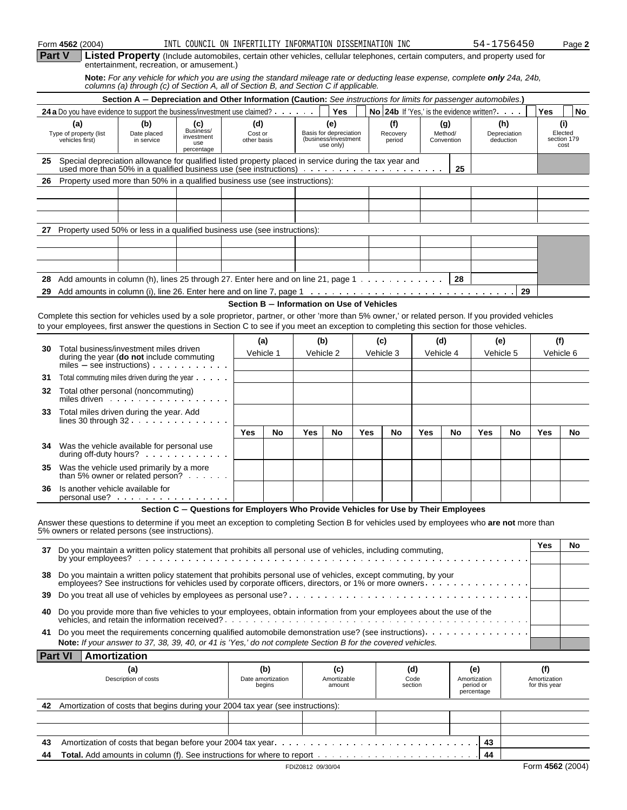|               | Form 4562 (2004)                                 |                                                                                                                                                                                                                                                                                                | INTL COUNCIL ON INFERTILITY INFORMATION DISSEMINATION INC                           |                                            |                                    |                   |                                                                    |     |                           |                        |           |                              |                                                | 54-1756450                       |                                      | Page 2                                |
|---------------|--------------------------------------------------|------------------------------------------------------------------------------------------------------------------------------------------------------------------------------------------------------------------------------------------------------------------------------------------------|-------------------------------------------------------------------------------------|--------------------------------------------|------------------------------------|-------------------|--------------------------------------------------------------------|-----|---------------------------|------------------------|-----------|------------------------------|------------------------------------------------|----------------------------------|--------------------------------------|---------------------------------------|
| <b>Part V</b> |                                                  | Listed Property (Include automobiles, certain other vehicles, cellular telephones, certain computers, and property used for<br>entertainment, recreation, or amusement.)                                                                                                                       |                                                                                     |                                            |                                    |                   |                                                                    |     |                           |                        |           |                              |                                                |                                  |                                      |                                       |
|               |                                                  | Note: For any vehicle for which you are using the standard mileage rate or deducting lease expense, complete only 24a, 24b,<br>columns (a) through (c) of Section A, all of Section B, and Section C if applicable.                                                                            |                                                                                     |                                            |                                    |                   |                                                                    |     |                           |                        |           |                              |                                                |                                  |                                      |                                       |
|               |                                                  | Section A - Depreciation and Other Information (Caution: See instructions for limits for passenger automobiles.)                                                                                                                                                                               |                                                                                     |                                            |                                    |                   |                                                                    |     |                           |                        |           |                              |                                                |                                  |                                      |                                       |
|               |                                                  | 24 a Do you have evidence to support the business/investment use claimed? $\cdots$                                                                                                                                                                                                             |                                                                                     |                                            |                                    |                   | Yes                                                                |     |                           |                        |           |                              | No 24b If 'Yes,' is the evidence written?      |                                  | Yes                                  | No                                    |
|               | (a)<br>Type of property (list<br>vehicles first) | (b)<br>Date placed<br>in service                                                                                                                                                                                                                                                               | (c)<br>Business/<br>investment<br>use<br>percentage                                 | (d)<br>Cost or<br>other basis              |                                    |                   | (e)<br>Basis for depreciation<br>(business/investment<br>use only) |     | (f)<br>Recovery<br>period |                        |           | (g)<br>Method/<br>Convention |                                                | (h)<br>Depreciation<br>deduction |                                      | (i)<br>Elected<br>section 179<br>cost |
| 25            |                                                  | Special depreciation allowance for qualified listed property placed in service during the tax year and                                                                                                                                                                                         |                                                                                     |                                            |                                    |                   |                                                                    |     |                           |                        |           | 25                           |                                                |                                  |                                      |                                       |
| 26            |                                                  | Property used more than 50% in a qualified business use (see instructions):                                                                                                                                                                                                                    |                                                                                     |                                            |                                    |                   |                                                                    |     |                           |                        |           |                              |                                                |                                  |                                      |                                       |
|               |                                                  |                                                                                                                                                                                                                                                                                                |                                                                                     |                                            |                                    |                   |                                                                    |     |                           |                        |           |                              |                                                |                                  |                                      |                                       |
|               |                                                  | 27 Property used 50% or less in a qualified business use (see instructions):                                                                                                                                                                                                                   |                                                                                     |                                            |                                    |                   |                                                                    |     |                           |                        |           |                              |                                                |                                  |                                      |                                       |
|               |                                                  |                                                                                                                                                                                                                                                                                                |                                                                                     |                                            |                                    |                   |                                                                    |     |                           |                        |           |                              |                                                |                                  |                                      |                                       |
| 28            |                                                  | Add amounts in column (h), lines 25 through 27. Enter here and on line 21, page 1 $\dots$                                                                                                                                                                                                      |                                                                                     |                                            |                                    |                   |                                                                    |     |                           |                        |           | 28                           |                                                |                                  |                                      |                                       |
| 29            |                                                  |                                                                                                                                                                                                                                                                                                |                                                                                     |                                            |                                    |                   |                                                                    |     |                           |                        |           |                              |                                                | 29                               |                                      |                                       |
|               |                                                  | Complete this section for vehicles used by a sole proprietor, partner, or other 'more than 5% owner,' or related person. If you provided vehicles<br>to your employees, first answer the questions in Section C to see if you meet an exception to completing this section for those vehicles. |                                                                                     | Section B - Information on Use of Vehicles |                                    |                   |                                                                    |     |                           |                        |           |                              |                                                |                                  |                                      |                                       |
|               |                                                  |                                                                                                                                                                                                                                                                                                |                                                                                     |                                            | (a)                                |                   | (b)                                                                |     | (c)                       |                        | (d)       |                              | (e)                                            |                                  |                                      | (f)                                   |
| 30            |                                                  | Total business/investment miles driven<br>during the year ( <b>do not</b> include commuting<br>miles $-$ see instructions) $\cdots$ $\cdots$                                                                                                                                                   |                                                                                     |                                            | Vehicle 1                          |                   | Vehicle 2                                                          |     | Vehicle 3                 |                        | Vehicle 4 |                              |                                                | Vehicle 5                        |                                      | Vehicle 6                             |
| 31            |                                                  | Total commuting miles driven during the year                                                                                                                                                                                                                                                   |                                                                                     |                                            |                                    |                   |                                                                    |     |                           |                        |           |                              |                                                |                                  |                                      |                                       |
| 32            |                                                  | Total other personal (noncommuting)<br>miles driven                                                                                                                                                                                                                                            |                                                                                     |                                            |                                    |                   |                                                                    |     |                           |                        |           |                              |                                                |                                  |                                      |                                       |
| 33            |                                                  | Total miles driven during the year. Add<br>lines 30 through $32 \cdot \cdot \cdot \cdot \cdot \cdot \cdot \cdot \cdot \cdot$                                                                                                                                                                   |                                                                                     |                                            |                                    |                   |                                                                    |     |                           |                        |           |                              |                                                |                                  |                                      |                                       |
|               |                                                  |                                                                                                                                                                                                                                                                                                |                                                                                     | Yes                                        | No                                 | Yes               | No                                                                 | Yes |                           | No                     | Yes       | No                           | Yes                                            | No                               | Yes                                  | No                                    |
| 34            |                                                  | Was the vehicle available for personal use<br>during off-duty hours?                                                                                                                                                                                                                           |                                                                                     |                                            |                                    |                   |                                                                    |     |                           |                        |           |                              |                                                |                                  |                                      |                                       |
| 35            |                                                  | Was the vehicle used primarily by a more<br>than 5% owner or related person? $\cdots$                                                                                                                                                                                                          |                                                                                     |                                            |                                    |                   |                                                                    |     |                           |                        |           |                              |                                                |                                  |                                      |                                       |
| 36            |                                                  | Is another vehicle available for<br>personal use?                                                                                                                                                                                                                                              |                                                                                     |                                            |                                    |                   |                                                                    |     |                           |                        |           |                              |                                                |                                  |                                      |                                       |
|               |                                                  |                                                                                                                                                                                                                                                                                                | Section C - Questions for Employers Who Provide Vehicles for Use by Their Employees |                                            |                                    |                   |                                                                    |     |                           |                        |           |                              |                                                |                                  |                                      |                                       |
|               |                                                  | Answer these questions to determine if you meet an exception to completing Section B for vehicles used by employees who are not more than<br>5% owners or related persons (see instructions).                                                                                                  |                                                                                     |                                            |                                    |                   |                                                                    |     |                           |                        |           |                              |                                                |                                  |                                      |                                       |
|               | by your employees?                               | 37 Do you maintain a written policy statement that prohibits all personal use of vehicles, including commuting,                                                                                                                                                                                |                                                                                     |                                            |                                    |                   |                                                                    |     |                           |                        |           |                              |                                                |                                  | Yes                                  | No                                    |
|               |                                                  | 38 Do you maintain a written policy statement that prohibits personal use of vehicles, except commuting, by your<br>employees? See instructions for vehicles used by corporate officers, directors, or 1% or more owners.                                                                      |                                                                                     |                                            |                                    |                   |                                                                    |     |                           |                        |           |                              |                                                |                                  |                                      |                                       |
| 39            |                                                  |                                                                                                                                                                                                                                                                                                |                                                                                     |                                            |                                    |                   |                                                                    |     |                           |                        |           |                              |                                                |                                  |                                      |                                       |
| 40            |                                                  | Do you provide more than five vehicles to your employees, obtain information from your employees about the use of the<br>vehicles, and retain the information received?                                                                                                                        |                                                                                     |                                            |                                    |                   |                                                                    |     |                           |                        |           |                              |                                                |                                  |                                      |                                       |
| 41            |                                                  | Do you meet the requirements concerning qualified automobile demonstration use? (see instructions).<br>Note: If your answer to 37, 38, 39, 40, or 41 is 'Yes,' do not complete Section B for the covered vehicles.                                                                             |                                                                                     |                                            |                                    |                   |                                                                    |     |                           |                        |           |                              |                                                |                                  |                                      |                                       |
|               | <b>Part VI</b>                                   | Amortization                                                                                                                                                                                                                                                                                   |                                                                                     |                                            |                                    |                   |                                                                    |     |                           |                        |           |                              |                                                |                                  |                                      |                                       |
|               |                                                  | (a)<br>Description of costs                                                                                                                                                                                                                                                                    |                                                                                     |                                            | (b)<br>Date amortization<br>begins |                   | (c)<br>Amortizable<br>amount                                       |     |                           | (d)<br>Code<br>section |           |                              | (e)<br>Amortization<br>period or<br>percentage |                                  | (f)<br>Amortization<br>for this year |                                       |
| 42            |                                                  | Amortization of costs that begins during your 2004 tax year (see instructions):                                                                                                                                                                                                                |                                                                                     |                                            |                                    |                   |                                                                    |     |                           |                        |           |                              |                                                |                                  |                                      |                                       |
|               |                                                  |                                                                                                                                                                                                                                                                                                |                                                                                     |                                            |                                    |                   |                                                                    |     |                           |                        |           |                              |                                                |                                  |                                      |                                       |
| 43            |                                                  |                                                                                                                                                                                                                                                                                                |                                                                                     |                                            |                                    |                   |                                                                    |     |                           |                        |           |                              | 43                                             |                                  |                                      |                                       |
| 44            |                                                  |                                                                                                                                                                                                                                                                                                |                                                                                     |                                            |                                    |                   |                                                                    |     |                           |                        |           |                              | 44                                             |                                  |                                      |                                       |
|               |                                                  |                                                                                                                                                                                                                                                                                                |                                                                                     |                                            |                                    | FDIZ0812 09/30/04 |                                                                    |     |                           |                        |           |                              |                                                |                                  | Form 4562 (2004)                     |                                       |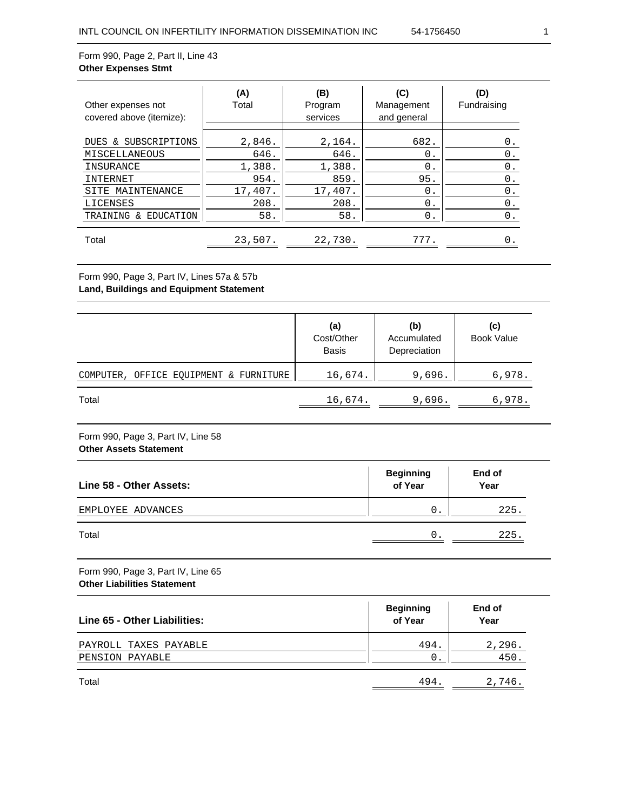# Form 990, Page 2, Part II, Line 43 **Other Expenses Stmt**

| Other expenses not<br>covered above (itemize):                                                       | (A)<br>Total                                        | (B)<br>Program<br>services                          | (C)<br>Management<br>and general       | (D)<br>Fundraising                           |
|------------------------------------------------------------------------------------------------------|-----------------------------------------------------|-----------------------------------------------------|----------------------------------------|----------------------------------------------|
| SUBSCRIPTIONS<br>DUES &<br>MISCELLANEOUS<br>INSURANCE<br>INTERNET<br>MAINTENANCE<br>SITE<br>LICENSES | 2,846.<br>646.<br>1,388.<br>954.<br>17,407.<br>208. | 2,164.<br>646.<br>1,388.<br>859.<br>17,407.<br>208. | 682.<br>0.<br>$0$ .<br>95.<br>0.<br>0. | 0.<br>$0$ .<br>$0$ .<br>0.<br>$0$ .<br>$0$ . |
| EDUCATION<br>TRAINING<br>δ£<br>Total                                                                 | 58.<br>23,507.                                      | 58.<br>22,730.                                      | 0.<br>777.                             | 0.                                           |

# Form 990, Page 3, Part IV, Lines 57a & 57b **Land, Buildings and Equipment Statement**

|                                        | (a)<br>Cost/Other<br><b>Basis</b> | (b)<br>Accumulated<br>Depreciation | (c)<br><b>Book Value</b> |
|----------------------------------------|-----------------------------------|------------------------------------|--------------------------|
| COMPUTER, OFFICE EQUIPMENT & FURNITURE | 16,674.                           | 9,696.                             | 6,978.                   |
| Total                                  | 16,674.                           | 9,696.                             | 6,978.                   |

### Form 990, Page 3, Part IV, Line 58 **Other Assets Statement**

| Line 58 - Other Assets: | <b>Beginning</b><br>of Year | End of<br>Year |
|-------------------------|-----------------------------|----------------|
| EMPLOYEE ADVANCES       | 0                           | 225.           |
| Total                   | 0                           | 225.           |

Form 990, Page 3, Part IV, Line 65 **Other Liabilities Statement**

| Line 65 - Other Liabilities: | <b>Beginning</b><br>of Year | End of<br>Year |
|------------------------------|-----------------------------|----------------|
| PAYROLL TAXES PAYABLE        | 494.                        | 2,296.         |
| PENSION PAYABLE              | 0                           | 450.           |
| Total                        | 494.                        | 2,746.         |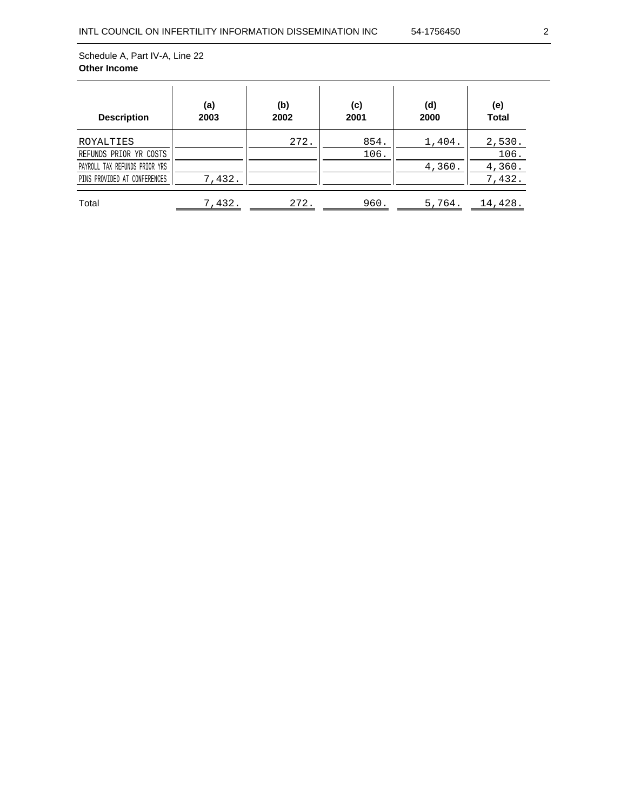| <b>Description</b>            | (a)<br>2003 | (b)<br>2002 | (c)<br>2001 | (d)<br>2000 | (e)<br><b>Total</b> |
|-------------------------------|-------------|-------------|-------------|-------------|---------------------|
| ROYALTIES                     |             | 272.        | 854.        | 1,404.      | 2,530.              |
| REFUNDS PRIOR YR COSTS        |             |             | 106.        |             | 106.                |
|                               |             |             |             |             |                     |
| PAYROLL TAX REFUNDS PRIOR YRS |             |             |             | 4,360.      | 4,360.              |
| PINS PROVIDED AT CONFERENCES  | 7,432.      |             |             |             | 7,432.              |
| Total                         | 7,432.      | 272.        | 960.        | 5,764.      | 14,428.             |